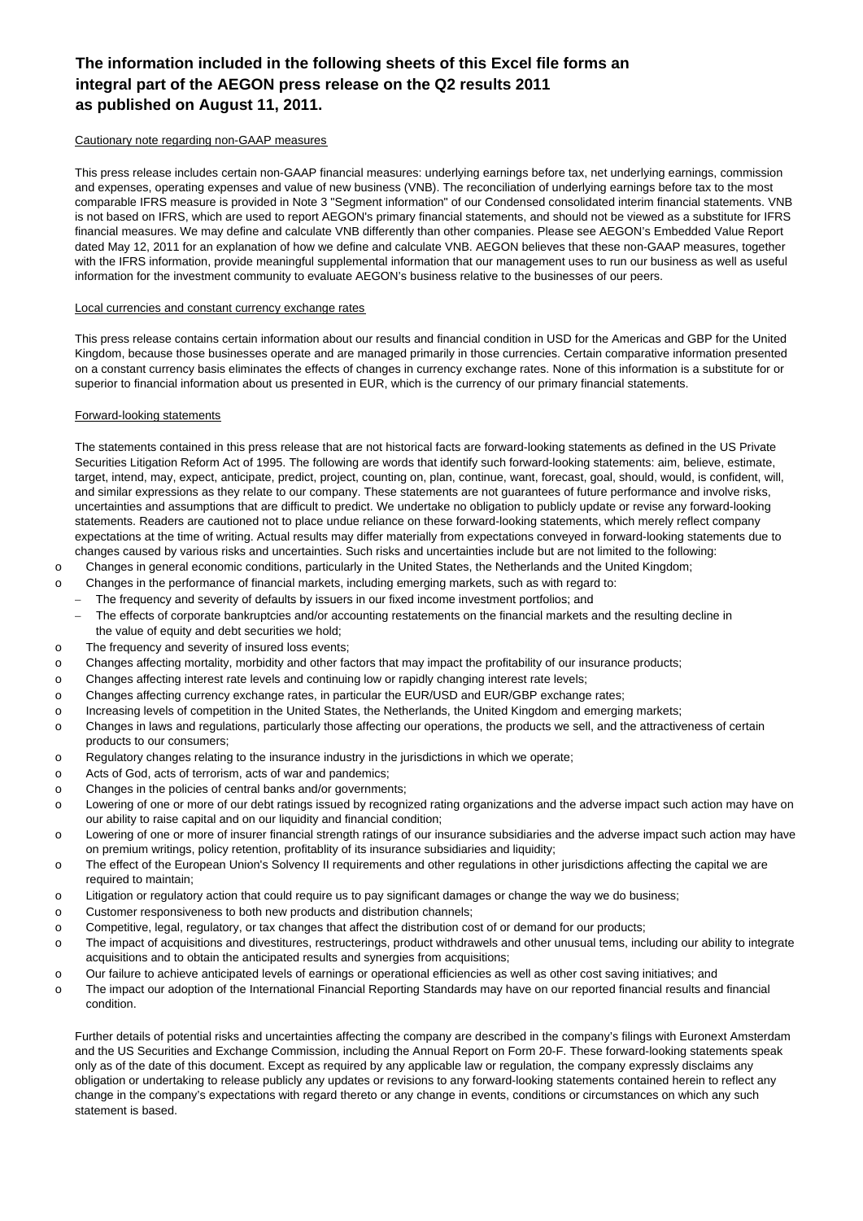## **The information included in the following sheets of this Excel file forms an integral part of the AEGON press release on the Q2 results 2011 as published on August 11, 2011.**

#### Cautionary note regarding non-GAAP measures

This press release includes certain non-GAAP financial measures: underlying earnings before tax, net underlying earnings, commission and expenses, operating expenses and value of new business (VNB). The reconciliation of underlying earnings before tax to the most comparable IFRS measure is provided in Note 3 "Segment information" of our Condensed consolidated interim financial statements. VNB is not based on IFRS, which are used to report AEGON's primary financial statements, and should not be viewed as a substitute for IFRS financial measures. We may define and calculate VNB differently than other companies. Please see AEGON's Embedded Value Report dated May 12, 2011 for an explanation of how we define and calculate VNB. AEGON believes that these non-GAAP measures, together with the IFRS information, provide meaningful supplemental information that our management uses to run our business as well as useful information for the investment community to evaluate AEGON's business relative to the businesses of our peers.

#### Local currencies and constant currency exchange rates

This press release contains certain information about our results and financial condition in USD for the Americas and GBP for the United Kingdom, because those businesses operate and are managed primarily in those currencies. Certain comparative information presented on a constant currency basis eliminates the effects of changes in currency exchange rates. None of this information is a substitute for or superior to financial information about us presented in EUR, which is the currency of our primary financial statements.

#### Forward-looking statements

The statements contained in this press release that are not historical facts are forward-looking statements as defined in the US Private Securities Litigation Reform Act of 1995. The following are words that identify such forward-looking statements: aim, believe, estimate, target, intend, may, expect, anticipate, predict, project, counting on, plan, continue, want, forecast, goal, should, would, is confident, will, and similar expressions as they relate to our company. These statements are not guarantees of future performance and involve risks, uncertainties and assumptions that are difficult to predict. We undertake no obligation to publicly update or revise any forward-looking statements. Readers are cautioned not to place undue reliance on these forward-looking statements, which merely reflect company expectations at the time of writing. Actual results may differ materially from expectations conveyed in forward-looking statements due to changes caused by various risks and uncertainties. Such risks and uncertainties include but are not limited to the following:

- o Changes in general economic conditions, particularly in the United States, the Netherlands and the United Kingdom;
- o Changes in the performance of financial markets, including emerging markets, such as with regard to:
- − The frequency and severity of defaults by issuers in our fixed income investment portfolios; and
	- The effects of corporate bankruptcies and/or accounting restatements on the financial markets and the resulting decline in the value of equity and debt securities we hold:
- o The frequency and severity of insured loss events;
- o Changes affecting mortality, morbidity and other factors that may impact the profitability of our insurance products;
- o Changes affecting interest rate levels and continuing low or rapidly changing interest rate levels;
- o Changes affecting currency exchange rates, in particular the EUR/USD and EUR/GBP exchange rates;
- o Increasing levels of competition in the United States, the Netherlands, the United Kingdom and emerging markets;
- o Changes in laws and regulations, particularly those affecting our operations, the products we sell, and the attractiveness of certain products to our consumers;
- o Regulatory changes relating to the insurance industry in the jurisdictions in which we operate;
- o Acts of God, acts of terrorism, acts of war and pandemics;
- o Changes in the policies of central banks and/or governments;
- o Lowering of one or more of our debt ratings issued by recognized rating organizations and the adverse impact such action may have on our ability to raise capital and on our liquidity and financial condition;
- o Lowering of one or more of insurer financial strength ratings of our insurance subsidiaries and the adverse impact such action may have on premium writings, policy retention, profitablity of its insurance subsidiaries and liquidity;
- o The effect of the European Union's Solvency II requirements and other regulations in other jurisdictions affecting the capital we are required to maintain;
- o Litigation or regulatory action that could require us to pay significant damages or change the way we do business;
- o Customer responsiveness to both new products and distribution channels;
- o Competitive, legal, regulatory, or tax changes that affect the distribution cost of or demand for our products;
- o The impact of acquisitions and divestitures, restructerings, product withdrawels and other unusual tems, including our ability to integrate acquisitions and to obtain the anticipated results and synergies from acquisitions;
- o Our failure to achieve anticipated levels of earnings or operational efficiencies as well as other cost saving initiatives; and
- o The impact our adoption of the International Financial Reporting Standards may have on our reported financial results and financial condition.

Further details of potential risks and uncertainties affecting the company are described in the company's filings with Euronext Amsterdam and the US Securities and Exchange Commission, including the Annual Report on Form 20-F. These forward-looking statements speak only as of the date of this document. Except as required by any applicable law or regulation, the company expressly disclaims any obligation or undertaking to release publicly any updates or revisions to any forward-looking statements contained herein to reflect any change in the company's expectations with regard thereto or any change in events, conditions or circumstances on which any such statement is based.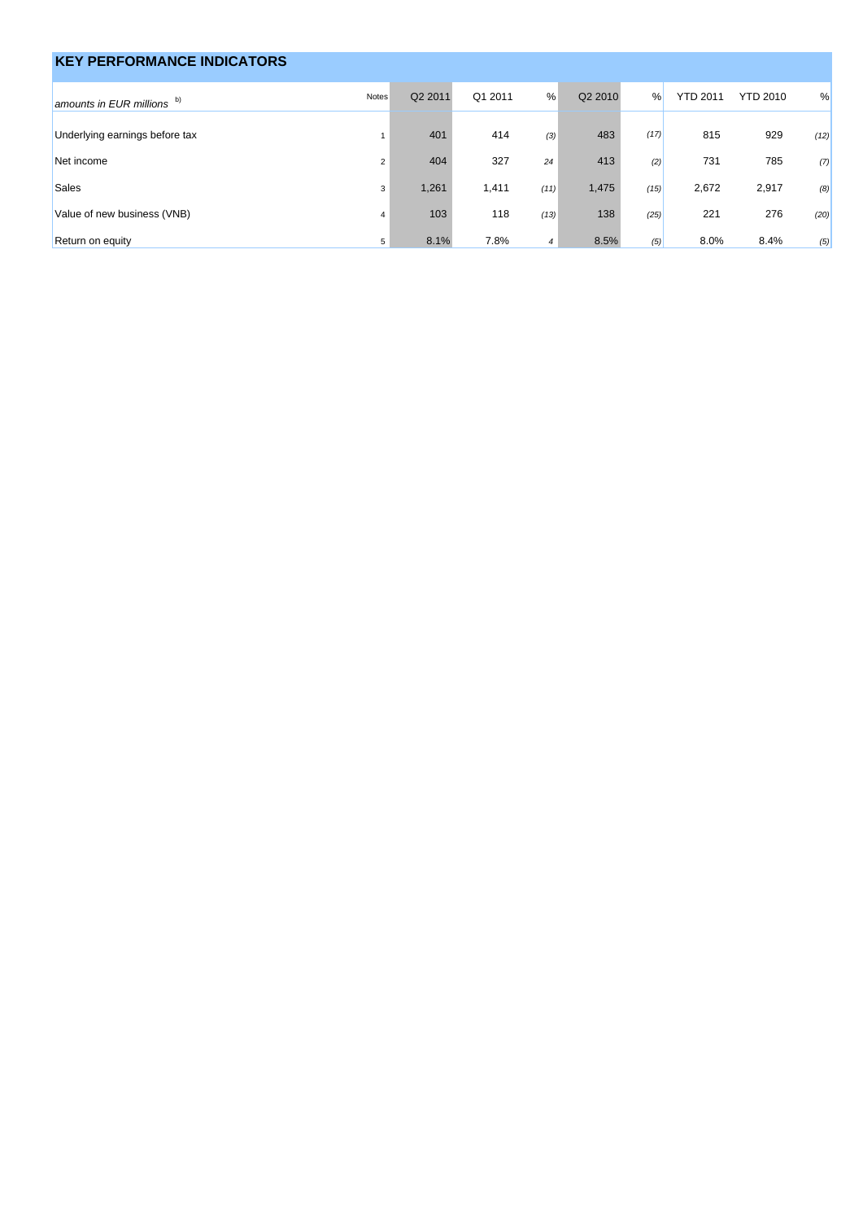| <b>KEY PERFORMANCE INDICATORS</b> |                |         |         |                |         |      |                 |                 |      |
|-----------------------------------|----------------|---------|---------|----------------|---------|------|-----------------|-----------------|------|
| amounts in EUR millions $b)$      | Notes          | Q2 2011 | Q1 2011 | %              | Q2 2010 | %    | <b>YTD 2011</b> | <b>YTD 2010</b> | %    |
| Underlying earnings before tax    |                | 401     | 414     | (3)            | 483     | (17) | 815             | 929             | (12) |
| Net income                        | $\overline{2}$ | 404     | 327     | 24             | 413     | (2)  | 731             | 785             | (7)  |
| Sales                             | 3              | 1,261   | 1,411   | (11)           | 1,475   | (15) | 2,672           | 2,917           | (8)  |
| Value of new business (VNB)       | $\overline{4}$ | 103     | 118     | (13)           | 138     | (25) | 221             | 276             | (20) |
| Return on equity                  | 5              | 8.1%    | 7.8%    | $\overline{4}$ | 8.5%    | (5)  | 8.0%            | 8.4%            | (5)  |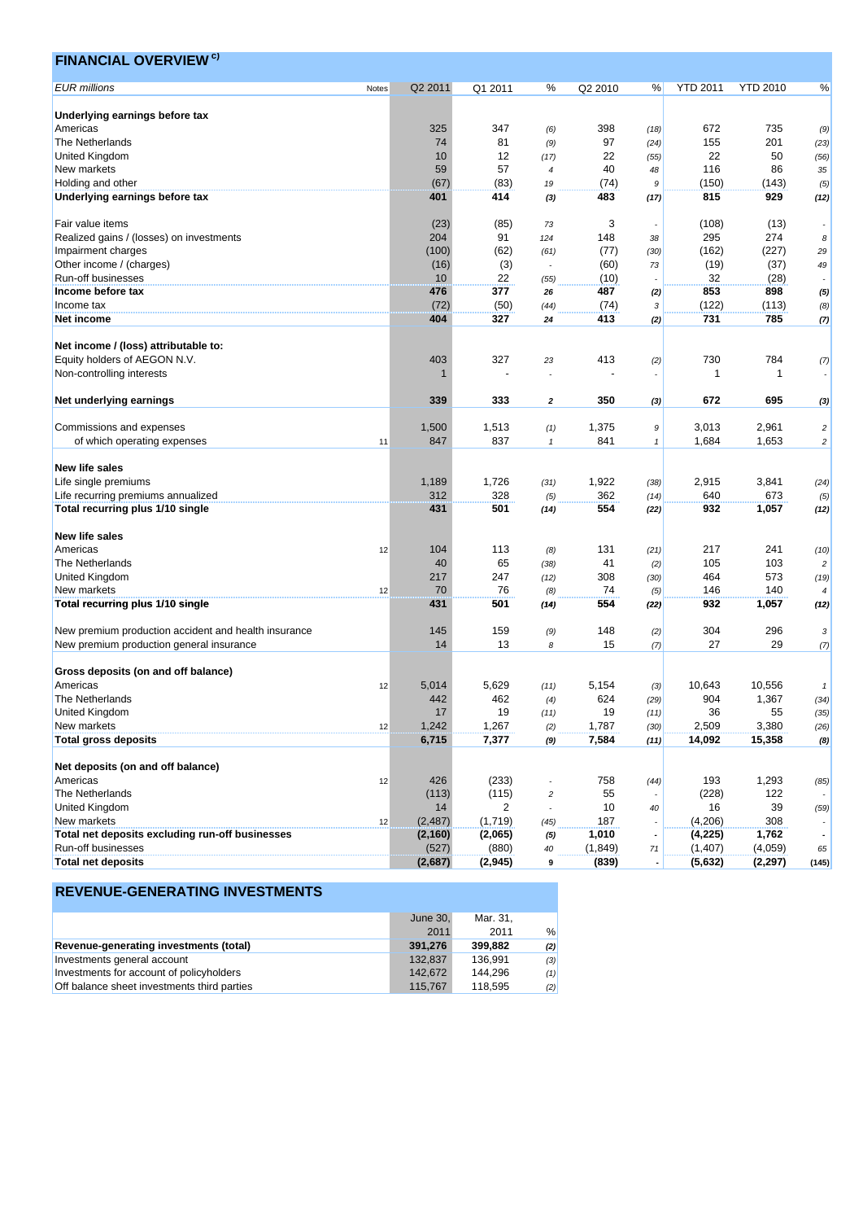| <b>EUR</b> millions<br>Q2 2011<br>Q1 2011<br>%<br>Q2 2010<br><b>YTD 2011</b><br><b>YTD 2010</b><br>%<br>%<br>Notes<br>Underlying earnings before tax<br>Americas<br>325<br>347<br>398<br>672<br>735<br>(6)<br>(18)<br>(9)<br>97<br>201<br>The Netherlands<br>74<br>81<br>155<br>(9)<br>(23)<br>(24)<br>10<br>12<br>22<br>22<br>50<br>United Kingdom<br>(56)<br>(17)<br>(55)<br>59<br>57<br>40<br>116<br>86<br>New markets<br>48<br>35<br>$\overline{4}$<br>Holding and other<br>(67)<br>(83)<br>(74)<br>(150)<br>(143)<br>19<br>9<br>(5)<br>414<br>815<br>929<br>Underlying earnings before tax<br>483<br>401<br>(12)<br>(3)<br>(17)<br>Fair value items<br>(23)<br>(85)<br>3<br>(108)<br>(13)<br>73<br>204<br>91<br>295<br>274<br>Realized gains / (losses) on investments<br>148<br>124<br>38<br>8<br>Impairment charges<br>(100)<br>(62)<br>(77)<br>(162)<br>(227)<br>(61)<br>(30)<br>29<br>(3)<br>Other income / (charges)<br>(16)<br>(60)<br>(19)<br>(37)<br>73<br>49<br>32<br>Run-off businesses<br>10<br>22<br>(28)<br>(10)<br>(55)<br>377<br>853<br>898<br>Income before tax<br>476<br>487<br>26<br>(5)<br>(2)<br>Income tax<br>(72)<br>(50)<br>(74)<br>(122)<br>(113)<br>(44)<br>3<br>(8)<br>327<br>413<br>731<br>785<br>Net income<br>404<br>24<br>(2)<br>(7)<br>Net income / (loss) attributable to:<br>Equity holders of AEGON N.V.<br>403<br>327<br>413<br>730<br>784<br>23<br>(2)<br>(7)<br>Non-controlling interests<br>$\mathbf 1$<br>-1<br>333<br>350<br>672<br>695<br>Net underlying earnings<br>339<br>2<br>(3)<br>(3)<br>2,961<br>Commissions and expenses<br>1,500<br>1,513<br>1,375<br>3,013<br>(1)<br>$\boldsymbol{9}$<br>$\overline{c}$<br>847<br>837<br>841<br>1,684<br>1,653<br>of which operating expenses<br>11<br>$\mathbf{1}$<br>$\mathbf{1}$<br>$\overline{\mathbf{c}}$<br><b>New life sales</b><br>Life single premiums<br>1,189<br>1,726<br>1,922<br>2,915<br>3,841<br>(31)<br>(38)<br>(24)<br>312<br>328<br>362<br>640<br>Life recurring premiums annualized<br>673<br>(5)<br>(14)<br>(5)<br>554<br>932<br>1,057<br>Total recurring plus 1/10 single<br>431<br>501<br>(12)<br>(14)<br>(22)<br><b>New life sales</b><br>104<br>217<br>Americas<br>113<br>131<br>241<br>12<br>(8)<br>(21)<br>(10)<br>65<br>41<br>105<br>103<br>The Netherlands<br>40<br>(38)<br>(2)<br>$\overline{c}$<br>464<br>573<br>United Kingdom<br>217<br>247<br>308<br>(12)<br>(30)<br>(19)<br>70<br>New markets<br>76<br>74<br>146<br>140<br>(8)<br>(5)<br>12<br>932<br>Total recurring plus 1/10 single<br>431<br>501<br>554<br>1,057<br>(14)<br>(22)<br>(12)<br>New premium production accident and health insurance<br>145<br>159<br>148<br>304<br>296<br>(9)<br>(2)<br>3<br>13<br>27<br>29<br>New premium production general insurance<br>14<br>15<br>8<br>(7)<br>(7)<br>Gross deposits (on and off balance)<br>5,014<br>5,629<br>5,154<br>10,643<br>10,556<br>Americas<br>12<br>(11)<br>(3)<br>$\pmb{\mathcal{I}}$<br>442<br>462<br>624<br>904<br>1,367<br>The Netherlands<br>(29)<br>(4)<br>(34)<br>United Kingdom<br>17<br>19<br>19<br>36<br>55<br>(35)<br>(11)<br>(11)<br>New markets<br>1,242<br>1,267<br>1,787<br>2,509<br>3,380<br>12<br>(2)<br>(30)<br>(26)<br><b>Total gross deposits</b><br>6,715<br>7,377<br>7,584<br>15,358<br>14,092<br>(9)<br>(8)<br>(11)<br>Net deposits (on and off balance)<br>426<br>(233)<br>758<br>193<br>1,293<br>Americas<br>12<br>(44)<br>(85)<br>The Netherlands<br>55<br>122<br>(113)<br>(115)<br>(228)<br>$\overline{c}$<br>United Kingdom<br>10<br>14<br>2<br>16<br>39<br>40<br>(59)<br>(4,206)<br>308<br>New markets<br>(2, 487)<br>(1,719)<br>187<br>12<br>(45)<br>Total net deposits excluding run-off businesses<br>1,010<br>1,762<br>(2,065)<br>(4,225)<br>(2, 160)<br>(5)<br>Run-off businesses<br>(527)<br>(880)<br>(1, 849)<br>(1,407)<br>(4,059)<br>40<br>71<br>65<br><b>Total net deposits</b><br>(2,687)<br>(2, 945)<br>(839)<br>(5,632)<br>(2, 297)<br>9<br>(145)<br>$\overline{\phantom{a}}$ | <b>FINANCIAL OVERVIEW<sup>c)</sup></b> |  |  |  |  |  |
|------------------------------------------------------------------------------------------------------------------------------------------------------------------------------------------------------------------------------------------------------------------------------------------------------------------------------------------------------------------------------------------------------------------------------------------------------------------------------------------------------------------------------------------------------------------------------------------------------------------------------------------------------------------------------------------------------------------------------------------------------------------------------------------------------------------------------------------------------------------------------------------------------------------------------------------------------------------------------------------------------------------------------------------------------------------------------------------------------------------------------------------------------------------------------------------------------------------------------------------------------------------------------------------------------------------------------------------------------------------------------------------------------------------------------------------------------------------------------------------------------------------------------------------------------------------------------------------------------------------------------------------------------------------------------------------------------------------------------------------------------------------------------------------------------------------------------------------------------------------------------------------------------------------------------------------------------------------------------------------------------------------------------------------------------------------------------------------------------------------------------------------------------------------------------------------------------------------------------------------------------------------------------------------------------------------------------------------------------------------------------------------------------------------------------------------------------------------------------------------------------------------------------------------------------------------------------------------------------------------------------------------------------------------------------------------------------------------------------------------------------------------------------------------------------------------------------------------------------------------------------------------------------------------------------------------------------------------------------------------------------------------------------------------------------------------------------------------------------------------------------------------------------------------------------------------------------------------------------------------------------------------------------------------------------------------------------------------------------------------------------------------------------------------------------------------------------------------------------------------------------------------------------------------------------------------------------------------------------------------------------------------------------------------------------------------------------------------------------------------------------------------------------------------------------------------------------------------------------------------------------------------------------------------------------------------------------------------|----------------------------------------|--|--|--|--|--|
|                                                                                                                                                                                                                                                                                                                                                                                                                                                                                                                                                                                                                                                                                                                                                                                                                                                                                                                                                                                                                                                                                                                                                                                                                                                                                                                                                                                                                                                                                                                                                                                                                                                                                                                                                                                                                                                                                                                                                                                                                                                                                                                                                                                                                                                                                                                                                                                                                                                                                                                                                                                                                                                                                                                                                                                                                                                                                                                                                                                                                                                                                                                                                                                                                                                                                                                                                                                                                                                                                                                                                                                                                                                                                                                                                                                                                                                                                                                                                                  |                                        |  |  |  |  |  |
|                                                                                                                                                                                                                                                                                                                                                                                                                                                                                                                                                                                                                                                                                                                                                                                                                                                                                                                                                                                                                                                                                                                                                                                                                                                                                                                                                                                                                                                                                                                                                                                                                                                                                                                                                                                                                                                                                                                                                                                                                                                                                                                                                                                                                                                                                                                                                                                                                                                                                                                                                                                                                                                                                                                                                                                                                                                                                                                                                                                                                                                                                                                                                                                                                                                                                                                                                                                                                                                                                                                                                                                                                                                                                                                                                                                                                                                                                                                                                                  |                                        |  |  |  |  |  |
|                                                                                                                                                                                                                                                                                                                                                                                                                                                                                                                                                                                                                                                                                                                                                                                                                                                                                                                                                                                                                                                                                                                                                                                                                                                                                                                                                                                                                                                                                                                                                                                                                                                                                                                                                                                                                                                                                                                                                                                                                                                                                                                                                                                                                                                                                                                                                                                                                                                                                                                                                                                                                                                                                                                                                                                                                                                                                                                                                                                                                                                                                                                                                                                                                                                                                                                                                                                                                                                                                                                                                                                                                                                                                                                                                                                                                                                                                                                                                                  |                                        |  |  |  |  |  |
|                                                                                                                                                                                                                                                                                                                                                                                                                                                                                                                                                                                                                                                                                                                                                                                                                                                                                                                                                                                                                                                                                                                                                                                                                                                                                                                                                                                                                                                                                                                                                                                                                                                                                                                                                                                                                                                                                                                                                                                                                                                                                                                                                                                                                                                                                                                                                                                                                                                                                                                                                                                                                                                                                                                                                                                                                                                                                                                                                                                                                                                                                                                                                                                                                                                                                                                                                                                                                                                                                                                                                                                                                                                                                                                                                                                                                                                                                                                                                                  |                                        |  |  |  |  |  |
|                                                                                                                                                                                                                                                                                                                                                                                                                                                                                                                                                                                                                                                                                                                                                                                                                                                                                                                                                                                                                                                                                                                                                                                                                                                                                                                                                                                                                                                                                                                                                                                                                                                                                                                                                                                                                                                                                                                                                                                                                                                                                                                                                                                                                                                                                                                                                                                                                                                                                                                                                                                                                                                                                                                                                                                                                                                                                                                                                                                                                                                                                                                                                                                                                                                                                                                                                                                                                                                                                                                                                                                                                                                                                                                                                                                                                                                                                                                                                                  |                                        |  |  |  |  |  |
|                                                                                                                                                                                                                                                                                                                                                                                                                                                                                                                                                                                                                                                                                                                                                                                                                                                                                                                                                                                                                                                                                                                                                                                                                                                                                                                                                                                                                                                                                                                                                                                                                                                                                                                                                                                                                                                                                                                                                                                                                                                                                                                                                                                                                                                                                                                                                                                                                                                                                                                                                                                                                                                                                                                                                                                                                                                                                                                                                                                                                                                                                                                                                                                                                                                                                                                                                                                                                                                                                                                                                                                                                                                                                                                                                                                                                                                                                                                                                                  |                                        |  |  |  |  |  |
|                                                                                                                                                                                                                                                                                                                                                                                                                                                                                                                                                                                                                                                                                                                                                                                                                                                                                                                                                                                                                                                                                                                                                                                                                                                                                                                                                                                                                                                                                                                                                                                                                                                                                                                                                                                                                                                                                                                                                                                                                                                                                                                                                                                                                                                                                                                                                                                                                                                                                                                                                                                                                                                                                                                                                                                                                                                                                                                                                                                                                                                                                                                                                                                                                                                                                                                                                                                                                                                                                                                                                                                                                                                                                                                                                                                                                                                                                                                                                                  |                                        |  |  |  |  |  |
|                                                                                                                                                                                                                                                                                                                                                                                                                                                                                                                                                                                                                                                                                                                                                                                                                                                                                                                                                                                                                                                                                                                                                                                                                                                                                                                                                                                                                                                                                                                                                                                                                                                                                                                                                                                                                                                                                                                                                                                                                                                                                                                                                                                                                                                                                                                                                                                                                                                                                                                                                                                                                                                                                                                                                                                                                                                                                                                                                                                                                                                                                                                                                                                                                                                                                                                                                                                                                                                                                                                                                                                                                                                                                                                                                                                                                                                                                                                                                                  |                                        |  |  |  |  |  |
|                                                                                                                                                                                                                                                                                                                                                                                                                                                                                                                                                                                                                                                                                                                                                                                                                                                                                                                                                                                                                                                                                                                                                                                                                                                                                                                                                                                                                                                                                                                                                                                                                                                                                                                                                                                                                                                                                                                                                                                                                                                                                                                                                                                                                                                                                                                                                                                                                                                                                                                                                                                                                                                                                                                                                                                                                                                                                                                                                                                                                                                                                                                                                                                                                                                                                                                                                                                                                                                                                                                                                                                                                                                                                                                                                                                                                                                                                                                                                                  |                                        |  |  |  |  |  |
|                                                                                                                                                                                                                                                                                                                                                                                                                                                                                                                                                                                                                                                                                                                                                                                                                                                                                                                                                                                                                                                                                                                                                                                                                                                                                                                                                                                                                                                                                                                                                                                                                                                                                                                                                                                                                                                                                                                                                                                                                                                                                                                                                                                                                                                                                                                                                                                                                                                                                                                                                                                                                                                                                                                                                                                                                                                                                                                                                                                                                                                                                                                                                                                                                                                                                                                                                                                                                                                                                                                                                                                                                                                                                                                                                                                                                                                                                                                                                                  |                                        |  |  |  |  |  |
|                                                                                                                                                                                                                                                                                                                                                                                                                                                                                                                                                                                                                                                                                                                                                                                                                                                                                                                                                                                                                                                                                                                                                                                                                                                                                                                                                                                                                                                                                                                                                                                                                                                                                                                                                                                                                                                                                                                                                                                                                                                                                                                                                                                                                                                                                                                                                                                                                                                                                                                                                                                                                                                                                                                                                                                                                                                                                                                                                                                                                                                                                                                                                                                                                                                                                                                                                                                                                                                                                                                                                                                                                                                                                                                                                                                                                                                                                                                                                                  |                                        |  |  |  |  |  |
|                                                                                                                                                                                                                                                                                                                                                                                                                                                                                                                                                                                                                                                                                                                                                                                                                                                                                                                                                                                                                                                                                                                                                                                                                                                                                                                                                                                                                                                                                                                                                                                                                                                                                                                                                                                                                                                                                                                                                                                                                                                                                                                                                                                                                                                                                                                                                                                                                                                                                                                                                                                                                                                                                                                                                                                                                                                                                                                                                                                                                                                                                                                                                                                                                                                                                                                                                                                                                                                                                                                                                                                                                                                                                                                                                                                                                                                                                                                                                                  |                                        |  |  |  |  |  |
|                                                                                                                                                                                                                                                                                                                                                                                                                                                                                                                                                                                                                                                                                                                                                                                                                                                                                                                                                                                                                                                                                                                                                                                                                                                                                                                                                                                                                                                                                                                                                                                                                                                                                                                                                                                                                                                                                                                                                                                                                                                                                                                                                                                                                                                                                                                                                                                                                                                                                                                                                                                                                                                                                                                                                                                                                                                                                                                                                                                                                                                                                                                                                                                                                                                                                                                                                                                                                                                                                                                                                                                                                                                                                                                                                                                                                                                                                                                                                                  |                                        |  |  |  |  |  |
|                                                                                                                                                                                                                                                                                                                                                                                                                                                                                                                                                                                                                                                                                                                                                                                                                                                                                                                                                                                                                                                                                                                                                                                                                                                                                                                                                                                                                                                                                                                                                                                                                                                                                                                                                                                                                                                                                                                                                                                                                                                                                                                                                                                                                                                                                                                                                                                                                                                                                                                                                                                                                                                                                                                                                                                                                                                                                                                                                                                                                                                                                                                                                                                                                                                                                                                                                                                                                                                                                                                                                                                                                                                                                                                                                                                                                                                                                                                                                                  |                                        |  |  |  |  |  |
|                                                                                                                                                                                                                                                                                                                                                                                                                                                                                                                                                                                                                                                                                                                                                                                                                                                                                                                                                                                                                                                                                                                                                                                                                                                                                                                                                                                                                                                                                                                                                                                                                                                                                                                                                                                                                                                                                                                                                                                                                                                                                                                                                                                                                                                                                                                                                                                                                                                                                                                                                                                                                                                                                                                                                                                                                                                                                                                                                                                                                                                                                                                                                                                                                                                                                                                                                                                                                                                                                                                                                                                                                                                                                                                                                                                                                                                                                                                                                                  |                                        |  |  |  |  |  |
|                                                                                                                                                                                                                                                                                                                                                                                                                                                                                                                                                                                                                                                                                                                                                                                                                                                                                                                                                                                                                                                                                                                                                                                                                                                                                                                                                                                                                                                                                                                                                                                                                                                                                                                                                                                                                                                                                                                                                                                                                                                                                                                                                                                                                                                                                                                                                                                                                                                                                                                                                                                                                                                                                                                                                                                                                                                                                                                                                                                                                                                                                                                                                                                                                                                                                                                                                                                                                                                                                                                                                                                                                                                                                                                                                                                                                                                                                                                                                                  |                                        |  |  |  |  |  |
|                                                                                                                                                                                                                                                                                                                                                                                                                                                                                                                                                                                                                                                                                                                                                                                                                                                                                                                                                                                                                                                                                                                                                                                                                                                                                                                                                                                                                                                                                                                                                                                                                                                                                                                                                                                                                                                                                                                                                                                                                                                                                                                                                                                                                                                                                                                                                                                                                                                                                                                                                                                                                                                                                                                                                                                                                                                                                                                                                                                                                                                                                                                                                                                                                                                                                                                                                                                                                                                                                                                                                                                                                                                                                                                                                                                                                                                                                                                                                                  |                                        |  |  |  |  |  |
|                                                                                                                                                                                                                                                                                                                                                                                                                                                                                                                                                                                                                                                                                                                                                                                                                                                                                                                                                                                                                                                                                                                                                                                                                                                                                                                                                                                                                                                                                                                                                                                                                                                                                                                                                                                                                                                                                                                                                                                                                                                                                                                                                                                                                                                                                                                                                                                                                                                                                                                                                                                                                                                                                                                                                                                                                                                                                                                                                                                                                                                                                                                                                                                                                                                                                                                                                                                                                                                                                                                                                                                                                                                                                                                                                                                                                                                                                                                                                                  |                                        |  |  |  |  |  |
|                                                                                                                                                                                                                                                                                                                                                                                                                                                                                                                                                                                                                                                                                                                                                                                                                                                                                                                                                                                                                                                                                                                                                                                                                                                                                                                                                                                                                                                                                                                                                                                                                                                                                                                                                                                                                                                                                                                                                                                                                                                                                                                                                                                                                                                                                                                                                                                                                                                                                                                                                                                                                                                                                                                                                                                                                                                                                                                                                                                                                                                                                                                                                                                                                                                                                                                                                                                                                                                                                                                                                                                                                                                                                                                                                                                                                                                                                                                                                                  |                                        |  |  |  |  |  |
|                                                                                                                                                                                                                                                                                                                                                                                                                                                                                                                                                                                                                                                                                                                                                                                                                                                                                                                                                                                                                                                                                                                                                                                                                                                                                                                                                                                                                                                                                                                                                                                                                                                                                                                                                                                                                                                                                                                                                                                                                                                                                                                                                                                                                                                                                                                                                                                                                                                                                                                                                                                                                                                                                                                                                                                                                                                                                                                                                                                                                                                                                                                                                                                                                                                                                                                                                                                                                                                                                                                                                                                                                                                                                                                                                                                                                                                                                                                                                                  |                                        |  |  |  |  |  |
|                                                                                                                                                                                                                                                                                                                                                                                                                                                                                                                                                                                                                                                                                                                                                                                                                                                                                                                                                                                                                                                                                                                                                                                                                                                                                                                                                                                                                                                                                                                                                                                                                                                                                                                                                                                                                                                                                                                                                                                                                                                                                                                                                                                                                                                                                                                                                                                                                                                                                                                                                                                                                                                                                                                                                                                                                                                                                                                                                                                                                                                                                                                                                                                                                                                                                                                                                                                                                                                                                                                                                                                                                                                                                                                                                                                                                                                                                                                                                                  |                                        |  |  |  |  |  |
|                                                                                                                                                                                                                                                                                                                                                                                                                                                                                                                                                                                                                                                                                                                                                                                                                                                                                                                                                                                                                                                                                                                                                                                                                                                                                                                                                                                                                                                                                                                                                                                                                                                                                                                                                                                                                                                                                                                                                                                                                                                                                                                                                                                                                                                                                                                                                                                                                                                                                                                                                                                                                                                                                                                                                                                                                                                                                                                                                                                                                                                                                                                                                                                                                                                                                                                                                                                                                                                                                                                                                                                                                                                                                                                                                                                                                                                                                                                                                                  |                                        |  |  |  |  |  |
|                                                                                                                                                                                                                                                                                                                                                                                                                                                                                                                                                                                                                                                                                                                                                                                                                                                                                                                                                                                                                                                                                                                                                                                                                                                                                                                                                                                                                                                                                                                                                                                                                                                                                                                                                                                                                                                                                                                                                                                                                                                                                                                                                                                                                                                                                                                                                                                                                                                                                                                                                                                                                                                                                                                                                                                                                                                                                                                                                                                                                                                                                                                                                                                                                                                                                                                                                                                                                                                                                                                                                                                                                                                                                                                                                                                                                                                                                                                                                                  |                                        |  |  |  |  |  |
|                                                                                                                                                                                                                                                                                                                                                                                                                                                                                                                                                                                                                                                                                                                                                                                                                                                                                                                                                                                                                                                                                                                                                                                                                                                                                                                                                                                                                                                                                                                                                                                                                                                                                                                                                                                                                                                                                                                                                                                                                                                                                                                                                                                                                                                                                                                                                                                                                                                                                                                                                                                                                                                                                                                                                                                                                                                                                                                                                                                                                                                                                                                                                                                                                                                                                                                                                                                                                                                                                                                                                                                                                                                                                                                                                                                                                                                                                                                                                                  |                                        |  |  |  |  |  |
|                                                                                                                                                                                                                                                                                                                                                                                                                                                                                                                                                                                                                                                                                                                                                                                                                                                                                                                                                                                                                                                                                                                                                                                                                                                                                                                                                                                                                                                                                                                                                                                                                                                                                                                                                                                                                                                                                                                                                                                                                                                                                                                                                                                                                                                                                                                                                                                                                                                                                                                                                                                                                                                                                                                                                                                                                                                                                                                                                                                                                                                                                                                                                                                                                                                                                                                                                                                                                                                                                                                                                                                                                                                                                                                                                                                                                                                                                                                                                                  |                                        |  |  |  |  |  |
|                                                                                                                                                                                                                                                                                                                                                                                                                                                                                                                                                                                                                                                                                                                                                                                                                                                                                                                                                                                                                                                                                                                                                                                                                                                                                                                                                                                                                                                                                                                                                                                                                                                                                                                                                                                                                                                                                                                                                                                                                                                                                                                                                                                                                                                                                                                                                                                                                                                                                                                                                                                                                                                                                                                                                                                                                                                                                                                                                                                                                                                                                                                                                                                                                                                                                                                                                                                                                                                                                                                                                                                                                                                                                                                                                                                                                                                                                                                                                                  |                                        |  |  |  |  |  |
|                                                                                                                                                                                                                                                                                                                                                                                                                                                                                                                                                                                                                                                                                                                                                                                                                                                                                                                                                                                                                                                                                                                                                                                                                                                                                                                                                                                                                                                                                                                                                                                                                                                                                                                                                                                                                                                                                                                                                                                                                                                                                                                                                                                                                                                                                                                                                                                                                                                                                                                                                                                                                                                                                                                                                                                                                                                                                                                                                                                                                                                                                                                                                                                                                                                                                                                                                                                                                                                                                                                                                                                                                                                                                                                                                                                                                                                                                                                                                                  |                                        |  |  |  |  |  |
|                                                                                                                                                                                                                                                                                                                                                                                                                                                                                                                                                                                                                                                                                                                                                                                                                                                                                                                                                                                                                                                                                                                                                                                                                                                                                                                                                                                                                                                                                                                                                                                                                                                                                                                                                                                                                                                                                                                                                                                                                                                                                                                                                                                                                                                                                                                                                                                                                                                                                                                                                                                                                                                                                                                                                                                                                                                                                                                                                                                                                                                                                                                                                                                                                                                                                                                                                                                                                                                                                                                                                                                                                                                                                                                                                                                                                                                                                                                                                                  |                                        |  |  |  |  |  |
|                                                                                                                                                                                                                                                                                                                                                                                                                                                                                                                                                                                                                                                                                                                                                                                                                                                                                                                                                                                                                                                                                                                                                                                                                                                                                                                                                                                                                                                                                                                                                                                                                                                                                                                                                                                                                                                                                                                                                                                                                                                                                                                                                                                                                                                                                                                                                                                                                                                                                                                                                                                                                                                                                                                                                                                                                                                                                                                                                                                                                                                                                                                                                                                                                                                                                                                                                                                                                                                                                                                                                                                                                                                                                                                                                                                                                                                                                                                                                                  |                                        |  |  |  |  |  |
|                                                                                                                                                                                                                                                                                                                                                                                                                                                                                                                                                                                                                                                                                                                                                                                                                                                                                                                                                                                                                                                                                                                                                                                                                                                                                                                                                                                                                                                                                                                                                                                                                                                                                                                                                                                                                                                                                                                                                                                                                                                                                                                                                                                                                                                                                                                                                                                                                                                                                                                                                                                                                                                                                                                                                                                                                                                                                                                                                                                                                                                                                                                                                                                                                                                                                                                                                                                                                                                                                                                                                                                                                                                                                                                                                                                                                                                                                                                                                                  |                                        |  |  |  |  |  |
|                                                                                                                                                                                                                                                                                                                                                                                                                                                                                                                                                                                                                                                                                                                                                                                                                                                                                                                                                                                                                                                                                                                                                                                                                                                                                                                                                                                                                                                                                                                                                                                                                                                                                                                                                                                                                                                                                                                                                                                                                                                                                                                                                                                                                                                                                                                                                                                                                                                                                                                                                                                                                                                                                                                                                                                                                                                                                                                                                                                                                                                                                                                                                                                                                                                                                                                                                                                                                                                                                                                                                                                                                                                                                                                                                                                                                                                                                                                                                                  |                                        |  |  |  |  |  |
|                                                                                                                                                                                                                                                                                                                                                                                                                                                                                                                                                                                                                                                                                                                                                                                                                                                                                                                                                                                                                                                                                                                                                                                                                                                                                                                                                                                                                                                                                                                                                                                                                                                                                                                                                                                                                                                                                                                                                                                                                                                                                                                                                                                                                                                                                                                                                                                                                                                                                                                                                                                                                                                                                                                                                                                                                                                                                                                                                                                                                                                                                                                                                                                                                                                                                                                                                                                                                                                                                                                                                                                                                                                                                                                                                                                                                                                                                                                                                                  |                                        |  |  |  |  |  |
|                                                                                                                                                                                                                                                                                                                                                                                                                                                                                                                                                                                                                                                                                                                                                                                                                                                                                                                                                                                                                                                                                                                                                                                                                                                                                                                                                                                                                                                                                                                                                                                                                                                                                                                                                                                                                                                                                                                                                                                                                                                                                                                                                                                                                                                                                                                                                                                                                                                                                                                                                                                                                                                                                                                                                                                                                                                                                                                                                                                                                                                                                                                                                                                                                                                                                                                                                                                                                                                                                                                                                                                                                                                                                                                                                                                                                                                                                                                                                                  |                                        |  |  |  |  |  |
|                                                                                                                                                                                                                                                                                                                                                                                                                                                                                                                                                                                                                                                                                                                                                                                                                                                                                                                                                                                                                                                                                                                                                                                                                                                                                                                                                                                                                                                                                                                                                                                                                                                                                                                                                                                                                                                                                                                                                                                                                                                                                                                                                                                                                                                                                                                                                                                                                                                                                                                                                                                                                                                                                                                                                                                                                                                                                                                                                                                                                                                                                                                                                                                                                                                                                                                                                                                                                                                                                                                                                                                                                                                                                                                                                                                                                                                                                                                                                                  |                                        |  |  |  |  |  |
|                                                                                                                                                                                                                                                                                                                                                                                                                                                                                                                                                                                                                                                                                                                                                                                                                                                                                                                                                                                                                                                                                                                                                                                                                                                                                                                                                                                                                                                                                                                                                                                                                                                                                                                                                                                                                                                                                                                                                                                                                                                                                                                                                                                                                                                                                                                                                                                                                                                                                                                                                                                                                                                                                                                                                                                                                                                                                                                                                                                                                                                                                                                                                                                                                                                                                                                                                                                                                                                                                                                                                                                                                                                                                                                                                                                                                                                                                                                                                                  |                                        |  |  |  |  |  |
|                                                                                                                                                                                                                                                                                                                                                                                                                                                                                                                                                                                                                                                                                                                                                                                                                                                                                                                                                                                                                                                                                                                                                                                                                                                                                                                                                                                                                                                                                                                                                                                                                                                                                                                                                                                                                                                                                                                                                                                                                                                                                                                                                                                                                                                                                                                                                                                                                                                                                                                                                                                                                                                                                                                                                                                                                                                                                                                                                                                                                                                                                                                                                                                                                                                                                                                                                                                                                                                                                                                                                                                                                                                                                                                                                                                                                                                                                                                                                                  |                                        |  |  |  |  |  |
|                                                                                                                                                                                                                                                                                                                                                                                                                                                                                                                                                                                                                                                                                                                                                                                                                                                                                                                                                                                                                                                                                                                                                                                                                                                                                                                                                                                                                                                                                                                                                                                                                                                                                                                                                                                                                                                                                                                                                                                                                                                                                                                                                                                                                                                                                                                                                                                                                                                                                                                                                                                                                                                                                                                                                                                                                                                                                                                                                                                                                                                                                                                                                                                                                                                                                                                                                                                                                                                                                                                                                                                                                                                                                                                                                                                                                                                                                                                                                                  |                                        |  |  |  |  |  |
|                                                                                                                                                                                                                                                                                                                                                                                                                                                                                                                                                                                                                                                                                                                                                                                                                                                                                                                                                                                                                                                                                                                                                                                                                                                                                                                                                                                                                                                                                                                                                                                                                                                                                                                                                                                                                                                                                                                                                                                                                                                                                                                                                                                                                                                                                                                                                                                                                                                                                                                                                                                                                                                                                                                                                                                                                                                                                                                                                                                                                                                                                                                                                                                                                                                                                                                                                                                                                                                                                                                                                                                                                                                                                                                                                                                                                                                                                                                                                                  |                                        |  |  |  |  |  |
|                                                                                                                                                                                                                                                                                                                                                                                                                                                                                                                                                                                                                                                                                                                                                                                                                                                                                                                                                                                                                                                                                                                                                                                                                                                                                                                                                                                                                                                                                                                                                                                                                                                                                                                                                                                                                                                                                                                                                                                                                                                                                                                                                                                                                                                                                                                                                                                                                                                                                                                                                                                                                                                                                                                                                                                                                                                                                                                                                                                                                                                                                                                                                                                                                                                                                                                                                                                                                                                                                                                                                                                                                                                                                                                                                                                                                                                                                                                                                                  |                                        |  |  |  |  |  |
|                                                                                                                                                                                                                                                                                                                                                                                                                                                                                                                                                                                                                                                                                                                                                                                                                                                                                                                                                                                                                                                                                                                                                                                                                                                                                                                                                                                                                                                                                                                                                                                                                                                                                                                                                                                                                                                                                                                                                                                                                                                                                                                                                                                                                                                                                                                                                                                                                                                                                                                                                                                                                                                                                                                                                                                                                                                                                                                                                                                                                                                                                                                                                                                                                                                                                                                                                                                                                                                                                                                                                                                                                                                                                                                                                                                                                                                                                                                                                                  |                                        |  |  |  |  |  |
|                                                                                                                                                                                                                                                                                                                                                                                                                                                                                                                                                                                                                                                                                                                                                                                                                                                                                                                                                                                                                                                                                                                                                                                                                                                                                                                                                                                                                                                                                                                                                                                                                                                                                                                                                                                                                                                                                                                                                                                                                                                                                                                                                                                                                                                                                                                                                                                                                                                                                                                                                                                                                                                                                                                                                                                                                                                                                                                                                                                                                                                                                                                                                                                                                                                                                                                                                                                                                                                                                                                                                                                                                                                                                                                                                                                                                                                                                                                                                                  |                                        |  |  |  |  |  |
|                                                                                                                                                                                                                                                                                                                                                                                                                                                                                                                                                                                                                                                                                                                                                                                                                                                                                                                                                                                                                                                                                                                                                                                                                                                                                                                                                                                                                                                                                                                                                                                                                                                                                                                                                                                                                                                                                                                                                                                                                                                                                                                                                                                                                                                                                                                                                                                                                                                                                                                                                                                                                                                                                                                                                                                                                                                                                                                                                                                                                                                                                                                                                                                                                                                                                                                                                                                                                                                                                                                                                                                                                                                                                                                                                                                                                                                                                                                                                                  |                                        |  |  |  |  |  |
|                                                                                                                                                                                                                                                                                                                                                                                                                                                                                                                                                                                                                                                                                                                                                                                                                                                                                                                                                                                                                                                                                                                                                                                                                                                                                                                                                                                                                                                                                                                                                                                                                                                                                                                                                                                                                                                                                                                                                                                                                                                                                                                                                                                                                                                                                                                                                                                                                                                                                                                                                                                                                                                                                                                                                                                                                                                                                                                                                                                                                                                                                                                                                                                                                                                                                                                                                                                                                                                                                                                                                                                                                                                                                                                                                                                                                                                                                                                                                                  |                                        |  |  |  |  |  |
|                                                                                                                                                                                                                                                                                                                                                                                                                                                                                                                                                                                                                                                                                                                                                                                                                                                                                                                                                                                                                                                                                                                                                                                                                                                                                                                                                                                                                                                                                                                                                                                                                                                                                                                                                                                                                                                                                                                                                                                                                                                                                                                                                                                                                                                                                                                                                                                                                                                                                                                                                                                                                                                                                                                                                                                                                                                                                                                                                                                                                                                                                                                                                                                                                                                                                                                                                                                                                                                                                                                                                                                                                                                                                                                                                                                                                                                                                                                                                                  |                                        |  |  |  |  |  |
|                                                                                                                                                                                                                                                                                                                                                                                                                                                                                                                                                                                                                                                                                                                                                                                                                                                                                                                                                                                                                                                                                                                                                                                                                                                                                                                                                                                                                                                                                                                                                                                                                                                                                                                                                                                                                                                                                                                                                                                                                                                                                                                                                                                                                                                                                                                                                                                                                                                                                                                                                                                                                                                                                                                                                                                                                                                                                                                                                                                                                                                                                                                                                                                                                                                                                                                                                                                                                                                                                                                                                                                                                                                                                                                                                                                                                                                                                                                                                                  |                                        |  |  |  |  |  |
|                                                                                                                                                                                                                                                                                                                                                                                                                                                                                                                                                                                                                                                                                                                                                                                                                                                                                                                                                                                                                                                                                                                                                                                                                                                                                                                                                                                                                                                                                                                                                                                                                                                                                                                                                                                                                                                                                                                                                                                                                                                                                                                                                                                                                                                                                                                                                                                                                                                                                                                                                                                                                                                                                                                                                                                                                                                                                                                                                                                                                                                                                                                                                                                                                                                                                                                                                                                                                                                                                                                                                                                                                                                                                                                                                                                                                                                                                                                                                                  |                                        |  |  |  |  |  |
|                                                                                                                                                                                                                                                                                                                                                                                                                                                                                                                                                                                                                                                                                                                                                                                                                                                                                                                                                                                                                                                                                                                                                                                                                                                                                                                                                                                                                                                                                                                                                                                                                                                                                                                                                                                                                                                                                                                                                                                                                                                                                                                                                                                                                                                                                                                                                                                                                                                                                                                                                                                                                                                                                                                                                                                                                                                                                                                                                                                                                                                                                                                                                                                                                                                                                                                                                                                                                                                                                                                                                                                                                                                                                                                                                                                                                                                                                                                                                                  |                                        |  |  |  |  |  |
|                                                                                                                                                                                                                                                                                                                                                                                                                                                                                                                                                                                                                                                                                                                                                                                                                                                                                                                                                                                                                                                                                                                                                                                                                                                                                                                                                                                                                                                                                                                                                                                                                                                                                                                                                                                                                                                                                                                                                                                                                                                                                                                                                                                                                                                                                                                                                                                                                                                                                                                                                                                                                                                                                                                                                                                                                                                                                                                                                                                                                                                                                                                                                                                                                                                                                                                                                                                                                                                                                                                                                                                                                                                                                                                                                                                                                                                                                                                                                                  |                                        |  |  |  |  |  |
|                                                                                                                                                                                                                                                                                                                                                                                                                                                                                                                                                                                                                                                                                                                                                                                                                                                                                                                                                                                                                                                                                                                                                                                                                                                                                                                                                                                                                                                                                                                                                                                                                                                                                                                                                                                                                                                                                                                                                                                                                                                                                                                                                                                                                                                                                                                                                                                                                                                                                                                                                                                                                                                                                                                                                                                                                                                                                                                                                                                                                                                                                                                                                                                                                                                                                                                                                                                                                                                                                                                                                                                                                                                                                                                                                                                                                                                                                                                                                                  |                                        |  |  |  |  |  |
|                                                                                                                                                                                                                                                                                                                                                                                                                                                                                                                                                                                                                                                                                                                                                                                                                                                                                                                                                                                                                                                                                                                                                                                                                                                                                                                                                                                                                                                                                                                                                                                                                                                                                                                                                                                                                                                                                                                                                                                                                                                                                                                                                                                                                                                                                                                                                                                                                                                                                                                                                                                                                                                                                                                                                                                                                                                                                                                                                                                                                                                                                                                                                                                                                                                                                                                                                                                                                                                                                                                                                                                                                                                                                                                                                                                                                                                                                                                                                                  |                                        |  |  |  |  |  |
|                                                                                                                                                                                                                                                                                                                                                                                                                                                                                                                                                                                                                                                                                                                                                                                                                                                                                                                                                                                                                                                                                                                                                                                                                                                                                                                                                                                                                                                                                                                                                                                                                                                                                                                                                                                                                                                                                                                                                                                                                                                                                                                                                                                                                                                                                                                                                                                                                                                                                                                                                                                                                                                                                                                                                                                                                                                                                                                                                                                                                                                                                                                                                                                                                                                                                                                                                                                                                                                                                                                                                                                                                                                                                                                                                                                                                                                                                                                                                                  |                                        |  |  |  |  |  |
|                                                                                                                                                                                                                                                                                                                                                                                                                                                                                                                                                                                                                                                                                                                                                                                                                                                                                                                                                                                                                                                                                                                                                                                                                                                                                                                                                                                                                                                                                                                                                                                                                                                                                                                                                                                                                                                                                                                                                                                                                                                                                                                                                                                                                                                                                                                                                                                                                                                                                                                                                                                                                                                                                                                                                                                                                                                                                                                                                                                                                                                                                                                                                                                                                                                                                                                                                                                                                                                                                                                                                                                                                                                                                                                                                                                                                                                                                                                                                                  |                                        |  |  |  |  |  |

|                                             | June 30, | Mar. 31, |               |
|---------------------------------------------|----------|----------|---------------|
|                                             | 2011     | 2011     | $\frac{0}{0}$ |
| Revenue-generating investments (total)      | 391.276  | 399.882  | (2)           |
| Investments general account                 | 132.837  | 136.991  | (3)           |
| Investments for account of policyholders    | 142.672  | 144.296  | (1)           |
| Off balance sheet investments third parties | 115.767  | 118.595  | (2)           |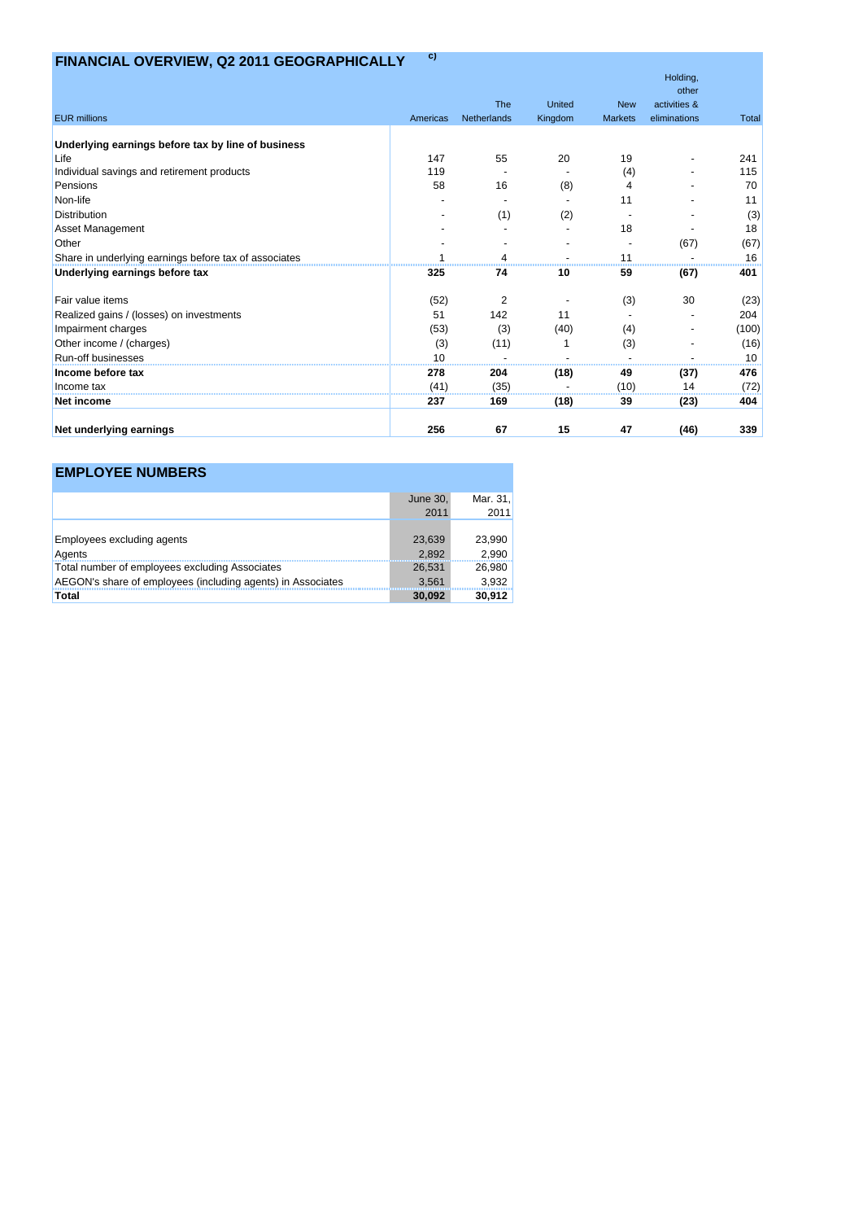# **FINANCIAL OVERVIEW, Q2 2011 GEOGRAPHICALLY c)**

|                                                       |          |                |         |                | Holding,              |              |
|-------------------------------------------------------|----------|----------------|---------|----------------|-----------------------|--------------|
|                                                       |          | <b>The</b>     | United  | <b>New</b>     | other<br>activities & |              |
| <b>EUR</b> millions                                   | Americas | Netherlands    | Kingdom | <b>Markets</b> | eliminations          | <b>Total</b> |
|                                                       |          |                |         |                |                       |              |
| Underlying earnings before tax by line of business    |          |                |         |                |                       |              |
| Life                                                  | 147      | 55             | 20      | 19             |                       | 241          |
| Individual savings and retirement products            | 119      |                |         | (4)            |                       | 115          |
| Pensions                                              | 58       | 16             | (8)     |                |                       | 70           |
| Non-life                                              |          |                |         | 11             |                       | 11           |
| <b>Distribution</b>                                   |          | (1)            | (2)     |                |                       | (3)          |
| <b>Asset Management</b>                               |          |                |         | 18             |                       | 18           |
| Other                                                 |          |                |         |                | (67)                  | (67)         |
| Share in underlying earnings before tax of associates |          |                |         | 11             |                       | 16           |
| Underlying earnings before tax                        | 325      | 74             | 10      | 59             | (67)                  | 401          |
| Fair value items                                      | (52)     | $\overline{2}$ |         | (3)            | 30                    | (23)         |
| Realized gains / (losses) on investments              | 51       | 142            | 11      |                |                       | 204          |
| Impairment charges                                    | (53)     | (3)            | (40)    | (4)            |                       | (100)        |
| Other income / (charges)                              | (3)      | (11)           |         | (3)            |                       | (16)         |
| Run-off businesses                                    | 10       |                |         |                |                       | 10           |
| Income before tax                                     | 278      | 204            | (18)    | 49             | (37)                  | 476          |
| Income tax                                            | (41)     | (35)           |         | (10)           | 14                    | (72)         |
| Net income                                            | 237      | 169            | (18)    | 39             | (23)                  | 404          |
| Net underlying earnings                               | 256      | 67             | 15      | 47             | (46)                  | 339          |

## **EMPLOYEE NUMBERS**

|                                                             | June 30, | Mar. 31. |
|-------------------------------------------------------------|----------|----------|
|                                                             | 2011     | 2011     |
|                                                             |          |          |
| <b>Employees excluding agents</b>                           | 23,639   | 23,990   |
| Agents                                                      | 2.892    | 2,990    |
| Total number of employees excluding Associates              | 26.531   | 26,980   |
| AEGON's share of employees (including agents) in Associates | 3.561    | 3,932    |
| Total                                                       | 30,092   | 30,912   |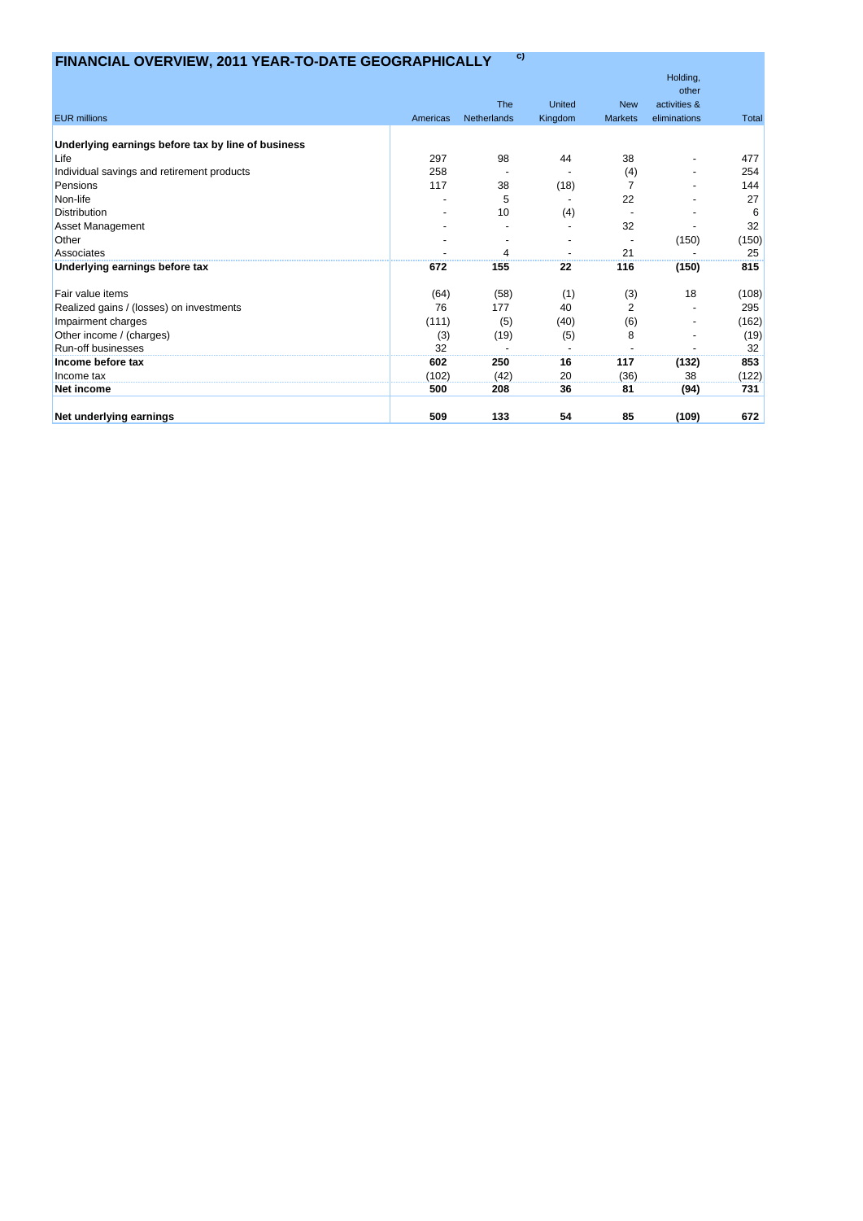# **FINANCIAL OVERVIEW, 2011 YEAR-TO-DATE GEOGRAPHICALLY c)**

|                                                    |          |             |               |                | Holding,              |              |
|----------------------------------------------------|----------|-------------|---------------|----------------|-----------------------|--------------|
|                                                    |          | <b>The</b>  | <b>United</b> | <b>New</b>     | other<br>activities & |              |
| <b>EUR millions</b>                                | Americas | Netherlands |               | <b>Markets</b> | eliminations          | <b>Total</b> |
|                                                    |          |             | Kingdom       |                |                       |              |
| Underlying earnings before tax by line of business |          |             |               |                |                       |              |
| Life                                               | 297      | 98          | 44            | 38             |                       | 477          |
| Individual savings and retirement products         | 258      |             |               | (4)            |                       | 254          |
| Pensions                                           | 117      | 38          | (18)          | $\overline{7}$ |                       | 144          |
| Non-life                                           |          | 5           |               | 22             |                       | 27           |
| <b>Distribution</b>                                |          | 10          | (4)           |                |                       | 6            |
| <b>Asset Management</b>                            |          |             |               | 32             |                       | 32           |
| Other                                              |          |             |               |                | (150)                 | (150)        |
| Associates                                         |          |             |               | 21             |                       | 25           |
| Underlying earnings before tax                     | 672      | 155         | 22            | 116            | (150)                 | 815          |
| Fair value items                                   | (64)     | (58)        | (1)           | (3)            | 18                    | (108)        |
| Realized gains / (losses) on investments           | 76       | 177         | 40            | $\overline{2}$ |                       | 295          |
| Impairment charges                                 | (111)    | (5)         | (40)          | (6)            |                       | (162)        |
| Other income / (charges)                           | (3)      | (19)        | (5)           | 8              |                       | (19)         |
| Run-off businesses                                 | 32       |             |               |                |                       | 32           |
| Income before tax                                  | 602      | 250         | 16            | 117            | (132)                 | 853          |
| Income tax                                         | (102)    | (42)        | 20            | (36)           | 38                    | (122)        |
| Net income                                         | 500      | 208         | 36            | 81             | (94)                  | 731          |
| Net underlying earnings                            | 509      | 133         | 54            | 85             | (109)                 | 672          |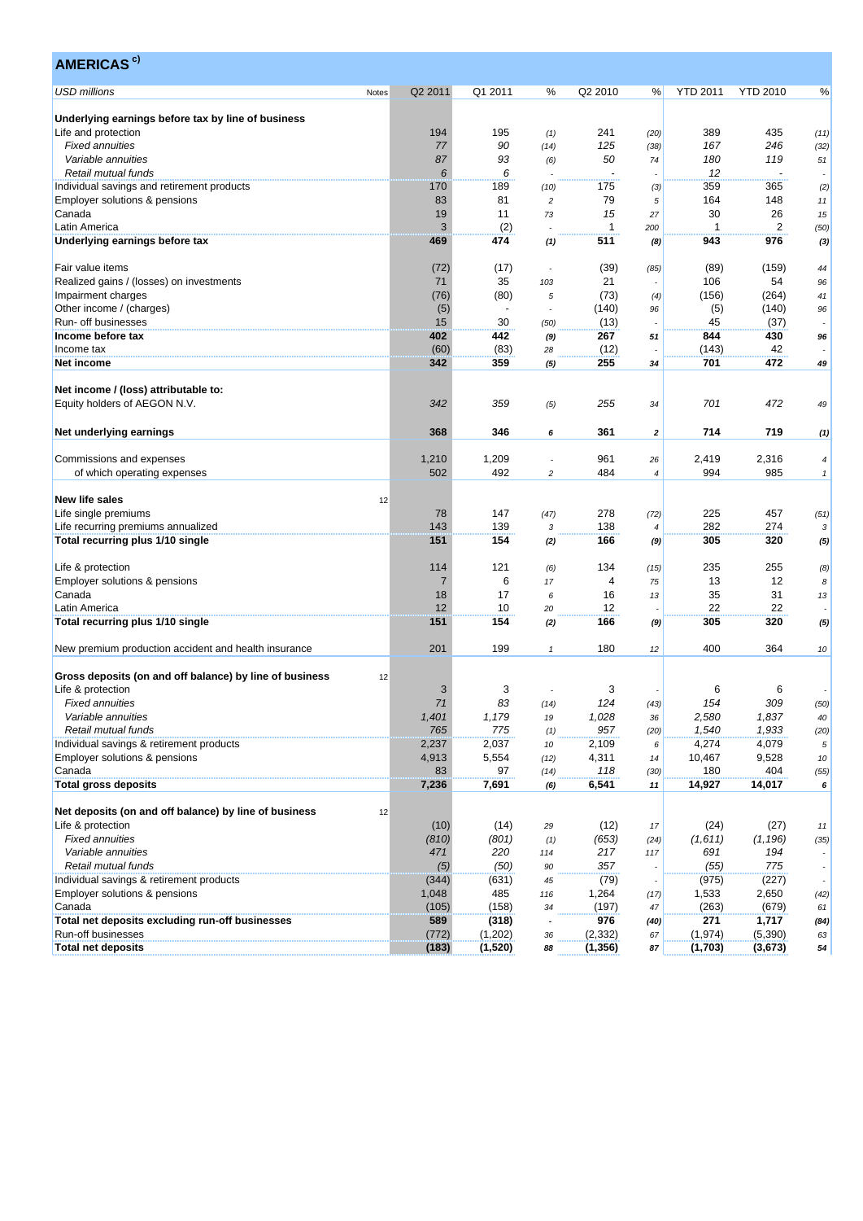| <b>AMERICAS<sup>c)</sup></b>                                         |       |                |                |                |                |              |                 |                 |                          |
|----------------------------------------------------------------------|-------|----------------|----------------|----------------|----------------|--------------|-----------------|-----------------|--------------------------|
| <b>USD millions</b>                                                  | Notes | Q2 2011        | Q1 2011        | ℅              | Q2 2010        | %            | <b>YTD 2011</b> | <b>YTD 2010</b> | %                        |
| Underlying earnings before tax by line of business                   |       |                |                |                |                |              |                 |                 |                          |
| Life and protection                                                  |       | 194            | 195            | (1)            | 241            | (20)         | 389             | 435             | (11)                     |
| <b>Fixed annuities</b>                                               |       | 77             | 90             | (14)           | 125            | (38)         | 167             | 246             | (32)                     |
| Variable annuities                                                   |       | 87             | 93             | (6)            | 50             | 74           | 180             | 119             | 51                       |
| Retail mutual funds                                                  |       | 6              | 6              |                |                |              | 12              |                 |                          |
| Individual savings and retirement products                           |       | 170            | 189            | (10)           | 175            | (3)          | 359             | 365             | (2)                      |
| Employer solutions & pensions                                        |       | 83             | 81             | $\overline{c}$ | 79             | 5            | 164             | 148             | 11                       |
| Canada                                                               |       | 19             | 11             | 73             | 15             | 27           | 30              | 26              | 15                       |
| Latin America                                                        |       | 3              | (2)            |                | 1              | 200          | $\mathbf 1$     | 2               | (50)                     |
| Underlying earnings before tax                                       |       | 469            | 474            | (1)            | 511            | (8)          | 943             | 976             | (3)                      |
| Fair value items                                                     |       | (72)           | (17)           |                | (39)           | (85)         | (89)            | (159)           | 44                       |
| Realized gains / (losses) on investments                             |       | 71             | 35             | 103            | 21             |              | 106             | 54              | 96                       |
| Impairment charges                                                   |       | (76)           | (80)           | 5              | (73)           | (4)          | (156)           | (264)           | 41                       |
| Other income / (charges)                                             |       | (5)            | $\blacksquare$ |                | (140)          | 96           | (5)             | (140)           | 96                       |
| Run- off businesses                                                  |       | 15             | 30             | (50)           | (13)           |              | 45              | (37)            |                          |
| Income before tax                                                    |       | 402            | 442            | (9)            | 267            | 51           | 844             | 430             | 96                       |
| Income tax                                                           |       | (60)           | (83)           | 28             | (12)           |              | (143)           | 42              |                          |
| Net income                                                           |       | 342            | 359            | (5)            | 255            | 34           | 701             | 472             | 49                       |
|                                                                      |       |                |                |                |                |              |                 |                 |                          |
| Net income / (loss) attributable to:<br>Equity holders of AEGON N.V. |       | 342            | 359            | (5)            | 255            | 34           | 701             | 472             | 49                       |
| Net underlying earnings                                              |       | 368            | 346            | 6              | 361            | $\mathbf{z}$ | 714             | 719             | (1)                      |
| Commissions and expenses                                             |       | 1,210          |                |                | 961            |              | 2,419           | 2,316           |                          |
|                                                                      |       | 502            | 1,209<br>492   | 2              | 484            | 26<br>4      | 994             | 985             | $\overline{4}$           |
| of which operating expenses                                          |       |                |                |                |                |              |                 |                 | $\mathbf{1}$             |
| <b>New life sales</b>                                                | 12    |                |                |                |                |              |                 |                 |                          |
| Life single premiums                                                 |       | 78             | 147            |                | 278            |              | 225             | 457             |                          |
|                                                                      |       | 143            | 139            | (47)           | 138            | (72)         | 282             | 274             | (51)                     |
| Life recurring premiums annualized                                   |       | 151            | 154            | 3              | 166            | 4            | 305             | 320             | 3                        |
| Total recurring plus 1/10 single                                     |       |                |                | (2)            |                | (9)          |                 |                 | (5)                      |
| Life & protection                                                    |       | 114            | 121            | (6)            | 134            | (15)         | 235             | 255             | (8)                      |
| Employer solutions & pensions                                        |       | $\overline{7}$ | 6              | 17             | $\overline{4}$ | 75           | 13              | 12              | 8                        |
| Canada                                                               |       | 18             | 17             | 6              | 16             | 13           | 35              | 31              | 13                       |
| Latin America                                                        |       | 12             | 10             | 20             | 12             |              | 22              | 22              |                          |
| Total recurring plus 1/10 single                                     |       | 151            | 154            | (2)            | 166            | (9)          | 305             | 320             | (5)                      |
| New premium production accident and health insurance                 |       | 201            | 199            | $\mathbf{1}$   | 180            | 12           | 400             | 364             | 10                       |
| Gross deposits (on and off balance) by line of business              | 12    |                |                |                |                |              |                 |                 |                          |
| Life & protection                                                    |       | 3              | 3              |                | 3              |              | 6               | 6               |                          |
| <b>Fixed annuities</b>                                               |       | 71             | 83             | (14)           | 124            | (43)         | 154             | 309             | (50)                     |
| Variable annuities                                                   |       | 1,401          | 1,179          |                | 1,028          |              | 2,580           | 1,837           |                          |
| Retail mutual funds                                                  |       | 765            | 775            | 19             | 957            | 36<br>(20)   | 1,540           | 1,933           | 40<br>(20)               |
| Individual savings & retirement products                             |       | 2,237          | 2,037          | (1)<br>10      | 2,109          | 6            | 4,274           | 4,079           | 5                        |
| Employer solutions & pensions                                        |       | 4,913          | 5,554          |                | 4,311          |              | 10,467          | 9,528           |                          |
| Canada                                                               |       | 83             | 97             | (12)           | 118            | 14           | 180             | 404             | 10                       |
|                                                                      |       |                |                | (14)           |                | (30)         |                 |                 | (55)                     |
| <b>Total gross deposits</b>                                          |       | 7,236          | 7,691          | (6)            | 6,541          | 11           | 14,927          | 14,017          | 6                        |
| Net deposits (on and off balance) by line of business                | 12    |                |                |                |                |              |                 |                 |                          |
| Life & protection                                                    |       | (10)           | (14)           | 29             | (12)           | 17           | (24)            | (27)            | 11                       |
| <b>Fixed annuities</b>                                               |       | (810)          | (801)          | (1)            | (653)          | (24)         | (1,611)         | (1, 196)        | (35)                     |
| Variable annuities                                                   |       | 471            | 220            | 114            | 217            | 117          | 691             | 194             |                          |
| Retail mutual funds                                                  |       | (5)            | (50)           | 90             | 357            |              | (55)            | 775             | ÷.                       |
| Individual savings & retirement products                             |       | (344)          | (631)          | 45             | (79)           |              | (975)           | (227)           | $\overline{\phantom{a}}$ |
| Employer solutions & pensions                                        |       | 1,048          | 485            | 116            | 1,264          | (17)         | 1,533           | 2,650           | (42)                     |
| Canada                                                               |       | (105)          | (158)          | 34             | (197)          | 47           | (263)           | (679)           | 61                       |
| Total net deposits excluding run-off businesses                      |       | 589            | (318)          |                | 976            | (40)         | 271             | 1,717           | (84)                     |
| Run-off businesses                                                   |       | (772)          | (1,202)        | 36             | (2, 332)       | 67           | (1, 974)        | (5,390)         | 63                       |
| <b>Total net deposits</b>                                            |       | (183)          | (1,520)        | 88             | (1, 356)       | 87           | (1,703)         | (3, 673)        | 54                       |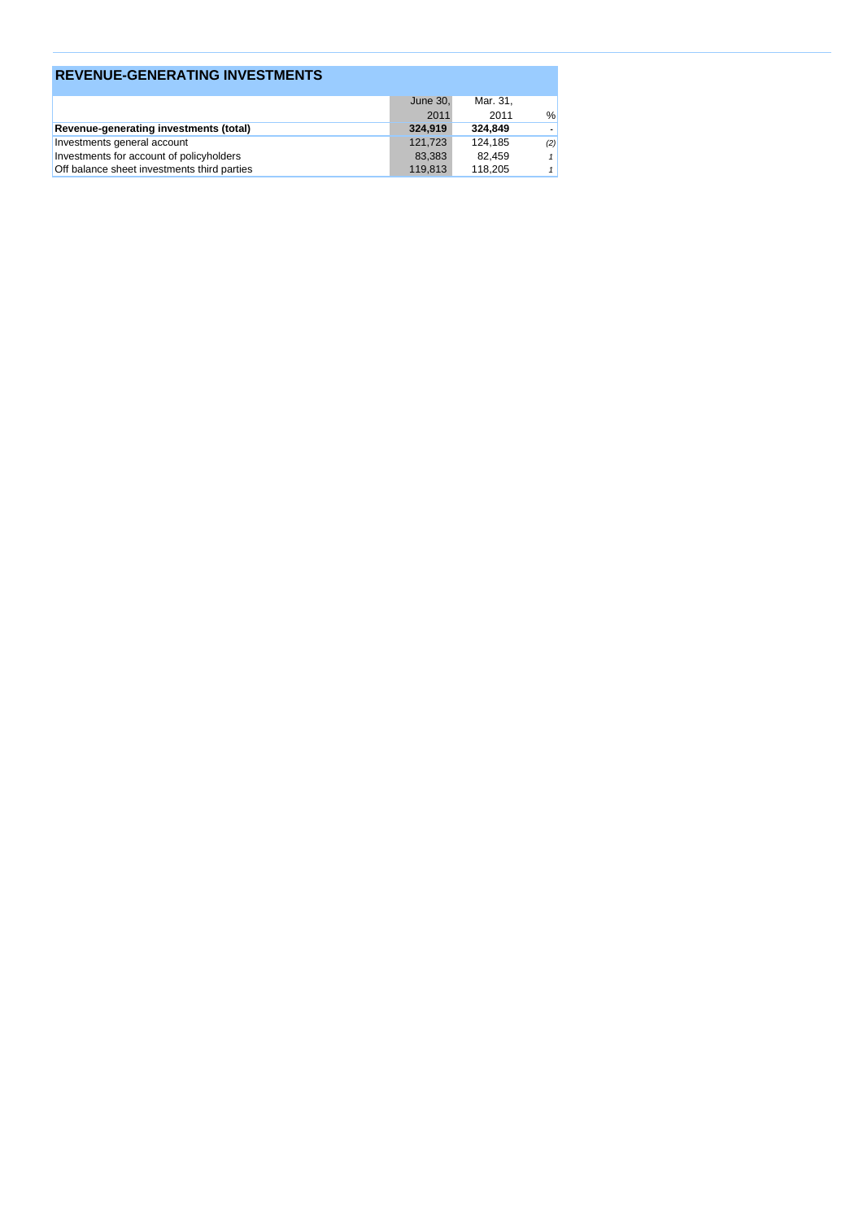| <b>REVENUE-GENERATING INVESTMENTS</b>         |          |          |     |  |  |  |  |  |  |
|-----------------------------------------------|----------|----------|-----|--|--|--|--|--|--|
|                                               | June 30. | Mar. 31, |     |  |  |  |  |  |  |
|                                               | 2011     | 2011     | %   |  |  |  |  |  |  |
| <b>Revenue-generating investments (total)</b> | 324.919  | 324.849  |     |  |  |  |  |  |  |
| Investments general account                   | 121.723  | 124.185  | (2) |  |  |  |  |  |  |
| Investments for account of policyholders      | 83,383   | 82.459   |     |  |  |  |  |  |  |
| Off balance sheet investments third parties   | 119,813  | 118,205  |     |  |  |  |  |  |  |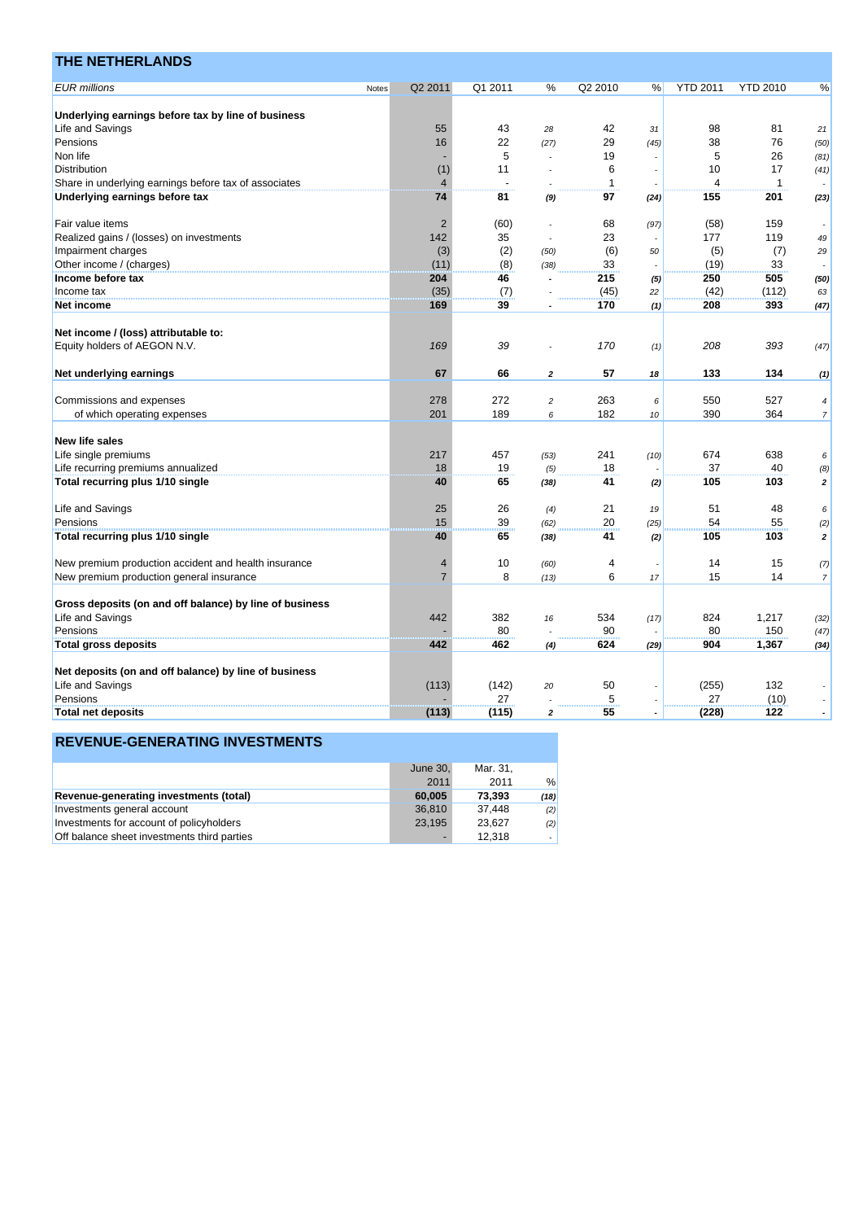| <b>THE NETHERLANDS</b>                                  |       |                |                |                          |         |      |                 |                 |                          |
|---------------------------------------------------------|-------|----------------|----------------|--------------------------|---------|------|-----------------|-----------------|--------------------------|
| <b>EUR</b> millions                                     | Notes | Q2 2011        | Q1 2011        | %                        | Q2 2010 | %    | <b>YTD 2011</b> | <b>YTD 2010</b> | %                        |
|                                                         |       |                |                |                          |         |      |                 |                 |                          |
| Underlying earnings before tax by line of business      |       |                |                |                          |         |      |                 |                 |                          |
| Life and Savings                                        |       | 55             | 43             | 28                       | 42      | 31   | 98              | 81              | 21                       |
| Pensions                                                |       | 16             | 22             | (27)                     | 29      | (45) | 38              | 76              | (50)                     |
| Non life                                                |       |                | 5              |                          | 19      |      | 5               | 26              | (81)                     |
| Distribution                                            |       | (1)            | 11             |                          | 6       |      | 10              | 17              | (41)                     |
| Share in underlying earnings before tax of associates   |       | $\overline{4}$ | $\overline{a}$ |                          | 1       |      | $\overline{4}$  | $\mathbf{1}$    |                          |
| Underlying earnings before tax                          |       | 74             | 81             | (9)                      | 97      | (24) | 155             | 201             | (23)                     |
| Fair value items                                        |       | $\overline{2}$ | (60)           |                          | 68      | (97) | (58)            | 159             |                          |
| Realized gains / (losses) on investments                |       | 142            | 35             | $\overline{\phantom{a}}$ | 23      |      | 177             | 119             | 49                       |
| Impairment charges                                      |       | (3)            | (2)            | (50)                     | (6)     | 50   | (5)             | (7)             | 29                       |
| Other income / (charges)                                |       | (11)           | (8)            | (38)                     | 33      |      | (19)            | 33              |                          |
| Income before tax                                       |       | 204            | 46             |                          | 215     | (5)  | 250             | 505             | (50)                     |
| Income tax                                              |       | (35)           | (7)            |                          | (45)    | 22   | (42)            | (112)           | 63                       |
| Net income                                              |       | 169            | 39             |                          | 170     | (1)  | 208             | 393             | (47)                     |
|                                                         |       |                |                |                          |         |      |                 |                 |                          |
| Net income / (loss) attributable to:                    |       |                |                |                          |         |      |                 |                 |                          |
| Equity holders of AEGON N.V.                            |       | 169            | 39             |                          | 170     | (1)  | 208             | 393             | (47)                     |
| Net underlying earnings                                 |       | 67             | 66             | $\overline{2}$           | 57      | 18   | 133             | 134             | (1)                      |
|                                                         |       |                |                |                          |         |      | 550             |                 |                          |
| Commissions and expenses                                |       | 278            | 272            | $\overline{c}$           | 263     | 6    |                 | 527             | 4                        |
| of which operating expenses                             |       | 201            | 189            | 6                        | 182     | 10   | 390             | 364             | $\overline{\phantom{a}}$ |
| <b>New life sales</b>                                   |       |                |                |                          |         |      |                 |                 |                          |
| Life single premiums                                    |       | 217            | 457            | (53)                     | 241     | (10) | 674             | 638             | 6                        |
| Life recurring premiums annualized                      |       | 18             | 19             | (5)                      | 18      |      | 37              | 40              | (8)                      |
| Total recurring plus 1/10 single                        |       | 40             | 65             | (38)                     | 41      | (2)  | 105             | 103             | $\mathbf 2$              |
| Life and Savings                                        |       | 25             | 26             | (4)                      | 21      | 19   | 51              | 48              | 6                        |
| Pensions                                                |       | 15             | 39             | (62)                     | 20      | (25) | 54              | 55              | (2)                      |
| Total recurring plus 1/10 single                        |       | 40             | 65             | (38)                     | 41      | (2)  | 105             | 103             | $\overline{\mathbf{z}}$  |
|                                                         |       |                |                |                          |         |      |                 |                 |                          |
| New premium production accident and health insurance    |       | $\overline{4}$ | 10             | (60)                     | 4       |      | 14              | 15              | (7)                      |
| New premium production general insurance                |       | $\overline{7}$ | 8              | (13)                     | 6       | 17   | 15              | 14              | $\overline{7}$           |
| Gross deposits (on and off balance) by line of business |       |                |                |                          |         |      |                 |                 |                          |
| Life and Savings                                        |       | 442            | 382            | 16                       | 534     | (17) | 824             | 1,217           | (32)                     |
| Pensions                                                |       |                | 80             |                          | 90      |      | 80              | 150             | (47)                     |
| <b>Total gross deposits</b>                             |       | 442            | 462            | (4)                      | 624     | (29) | 904             | 1,367           | (34)                     |
|                                                         |       |                |                |                          |         |      |                 |                 |                          |
| Net deposits (on and off balance) by line of business   |       |                |                |                          |         |      |                 |                 |                          |
| Life and Savings                                        |       | (113)          | (142)          | 20                       | 50      |      | (255)           | 132             |                          |
| Pensions                                                |       |                | 27             |                          | 5       |      | 27              | (10)            |                          |
| <b>Total net deposits</b>                               |       | (113)          | (115)          | $\overline{2}$           | 55      |      | (228)           | 122             | $\overline{\phantom{a}}$ |

|                                             | June 30, | Mar. 31, |        |
|---------------------------------------------|----------|----------|--------|
|                                             | 2011     | 2011     | %      |
| Revenue-generating investments (total)      | 60,005   | 73.393   | (18)   |
| Investments general account                 | 36.810   | 37.448   | (2)    |
| Investments for account of policyholders    | 23.195   | 23.627   | (2)    |
| Off balance sheet investments third parties |          | 12.318   | $\sim$ |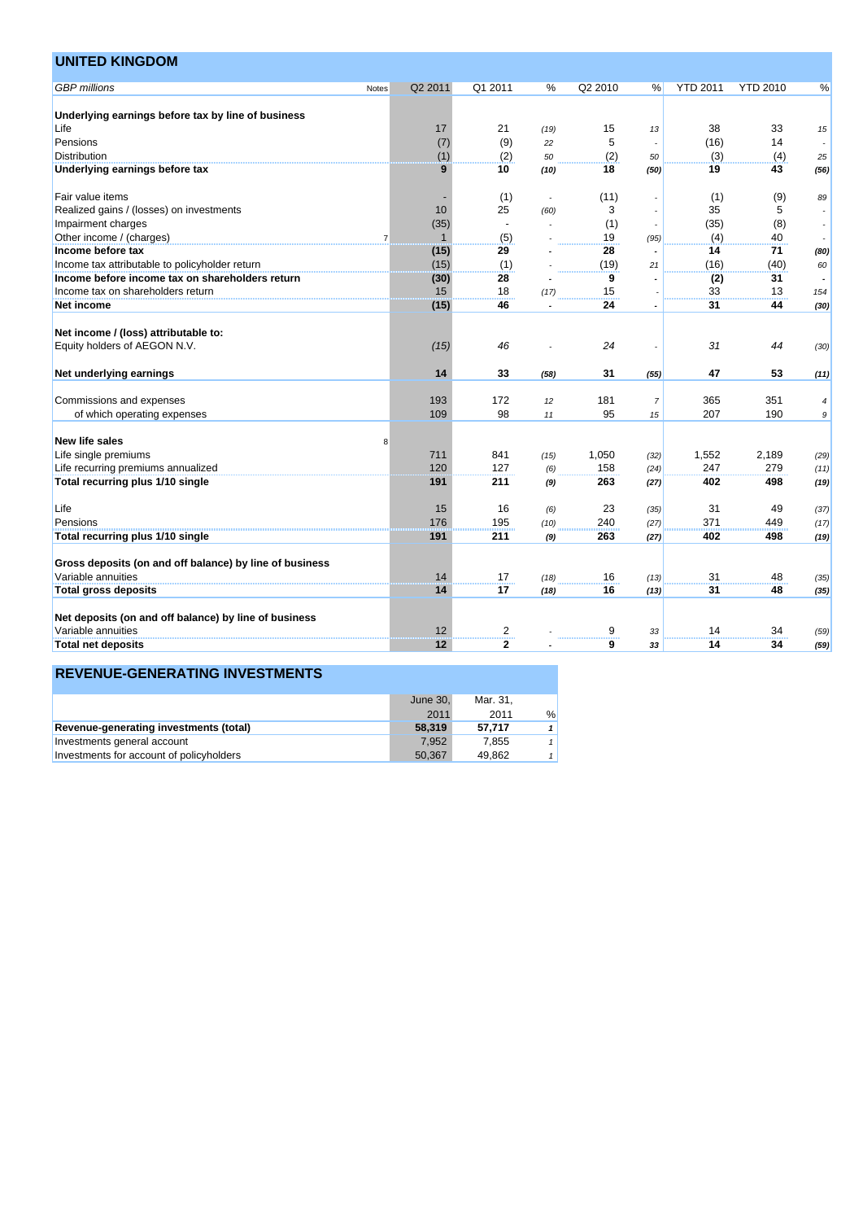| <b>UNITED KINGDOM</b>                                                         |                |              |                    |      |         |                |                 |                 |      |
|-------------------------------------------------------------------------------|----------------|--------------|--------------------|------|---------|----------------|-----------------|-----------------|------|
| <b>GBP</b> millions                                                           | Notes          | Q2 2011      | Q1 2011            | %    | Q2 2010 | %              | <b>YTD 2011</b> | <b>YTD 2010</b> | %    |
| Underlying earnings before tax by line of business                            |                |              |                    |      |         |                |                 |                 |      |
| Life                                                                          |                | 17           | 21                 | (19) | 15      | 13             | 38              | 33              | 15   |
| Pensions                                                                      |                | (7)          | (9)                | 22   | 5       |                | (16)            | 14              |      |
| <b>Distribution</b>                                                           |                | (1)          | (2)                | 50   | (2)     | 50             | (3)             | (4)             | 25   |
| Underlying earnings before tax                                                |                | 9            | 10                 | (10) | 18      | (50)           | 19              | 43              | (56) |
| Fair value items                                                              |                |              | (1)                |      | (11)    |                | (1)             | (9)             | 89   |
| Realized gains / (losses) on investments                                      |                | 10           | 25                 | (60) | 3       |                | 35              | 5               |      |
| Impairment charges                                                            |                | (35)         | $\blacksquare$     |      | (1)     |                | (35)            | (8)             |      |
| Other income / (charges)                                                      | $\overline{7}$ | $\mathbf{1}$ | (5)                |      | 19      | (95)           | (4)             | 40              |      |
| Income before tax                                                             |                | (15)         | 29                 |      | 28      |                | 14              | 71              | (80) |
| Income tax attributable to policyholder return                                |                | (15)         | (1)                |      | (19)    | 21             | (16)            | (40)            | 60   |
| Income before income tax on shareholders return                               |                | (30)         | 28                 |      | 9       |                | (2)             | 31              |      |
| Income tax on shareholders return                                             |                | 15           | 18                 | (17) | 15      |                | 33              | 13              | 154  |
| Net income                                                                    |                | (15)         | 46                 |      | 24      |                | 31              | 44              | (30) |
| Net income / (loss) attributable to:                                          |                |              |                    |      |         |                |                 |                 |      |
| Equity holders of AEGON N.V.                                                  |                | (15)         | 46                 |      | 24      |                | 31              | 44              | (30) |
|                                                                               |                |              |                    |      |         |                |                 |                 |      |
| Net underlying earnings                                                       |                | 14           | 33                 | (58) | 31      | (55)           | 47              | 53              | (11) |
| Commissions and expenses                                                      |                | 193          | 172                | 12   | 181     | $\overline{7}$ | 365             | 351             | 4    |
| of which operating expenses                                                   |                | 109          | 98                 | 11   | 95      | 15             | 207             | 190             | 9    |
| <b>New life sales</b>                                                         | 8              |              |                    |      |         |                |                 |                 |      |
| Life single premiums                                                          |                | 711          | 841                | (15) | 1,050   | (32)           | 1,552           | 2,189           | (29) |
| Life recurring premiums annualized                                            |                | 120          | 127                | (6)  | 158     | (24)           | 247             | 279             | (11) |
| Total recurring plus 1/10 single                                              |                | 191          | 211                | (9)  | 263     | (27)           | 402             | 498             | (19) |
|                                                                               |                |              |                    |      |         |                |                 |                 |      |
| Life                                                                          |                | 15           | 16                 | (6)  | 23      | (35)           | 31              | 49              | (37) |
| Pensions                                                                      |                | 176          | 195                | (10) | 240     | (27)           | 371             | 449             | (17) |
| Total recurring plus 1/10 single                                              |                | 191          | 211                | (9)  | 263     | (27)           | 402             | 498             | (19) |
|                                                                               |                |              |                    |      |         |                |                 |                 |      |
| Gross deposits (on and off balance) by line of business<br>Variable annuities |                | 14           | 17                 |      | 16      |                | 31              | 48              |      |
|                                                                               |                | 14           | 17                 | (18) | 16      | (13)           | 31              | 48              | (35) |
| <b>Total gross deposits</b>                                                   |                |              |                    | (18) |         | (13)           |                 |                 | (35) |
|                                                                               |                |              |                    |      |         |                |                 |                 |      |
| Net deposits (on and off balance) by line of business                         |                |              |                    |      |         |                |                 |                 |      |
| Variable annuities                                                            |                | 12           | $\frac{2}{\cdots}$ |      | 9       | 33             | 14              | 34              | (59) |

|                                          | June 30. | Mar. 31. |               |
|------------------------------------------|----------|----------|---------------|
|                                          | 2011     | 2011     | $\frac{0}{0}$ |
| Revenue-generating investments (total)   | 58,319   | 57.717   |               |
| Investments general account              | 7.952    | 7.855    |               |
| Investments for account of policyholders | 50.367   | 49.862   |               |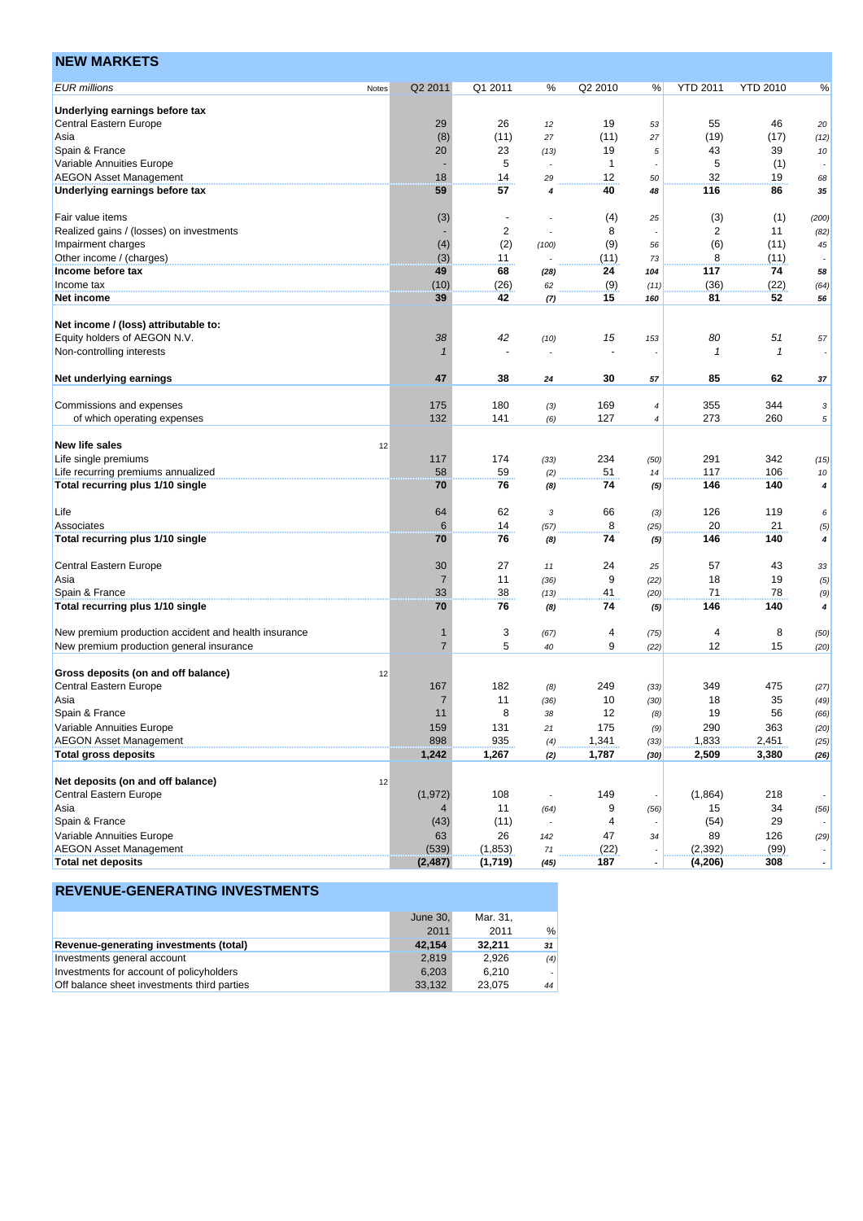| <b>NEW MARKETS</b>                                   |       |                      |                          |       |              |                       |                         |                 |                          |
|------------------------------------------------------|-------|----------------------|--------------------------|-------|--------------|-----------------------|-------------------------|-----------------|--------------------------|
| <b>EUR millions</b>                                  | Notes | Q2 2011              | Q1 2011                  | %     | Q2 2010      | %                     | <b>YTD 2011</b>         | <b>YTD 2010</b> | %                        |
| Underlying earnings before tax                       |       |                      |                          |       |              |                       |                         |                 |                          |
| Central Eastern Europe                               |       | 29                   | 26                       | 12    | 19           | 53                    | 55                      | 46              | 20                       |
| Asia                                                 |       | (8)                  | (11)                     | 27    | (11)         | 27                    | (19)                    | (17)            | (12)                     |
| Spain & France                                       |       | 20                   | 23                       | (13)  | 19           | 5                     | 43                      | 39              | 10                       |
| Variable Annuities Europe                            |       |                      | 5                        |       | $\mathbf{1}$ |                       | 5                       | (1)             |                          |
| <b>AEGON Asset Management</b>                        |       | 18                   | 14                       | 29    | 12           | 50                    | 32                      | 19              | 68                       |
| Underlying earnings before tax                       |       | 59                   | 57                       | 4     | 40           | 48                    | 116                     | 86              | 35                       |
| Fair value items                                     |       | (3)                  | $\overline{\phantom{a}}$ |       | (4)          | 25                    | (3)                     | (1)             | (200)                    |
| Realized gains / (losses) on investments             |       |                      | $\overline{\mathbf{c}}$  |       | 8            |                       | $\overline{\mathbf{c}}$ | 11              | (82)                     |
| Impairment charges                                   |       | (4)                  | (2)                      | (100) | (9)          | 56                    | (6)                     | (11)            | 45                       |
| Other income / (charges)                             |       | (3)                  | 11                       |       | (11)         | 73                    | 8                       | (11)            |                          |
| Income before tax                                    |       | 49                   | 68                       | (28)  | 24           | 104                   | 117                     | 74              | 58                       |
| Income tax                                           |       | (10)                 | (26)                     | 62    | (9)          | (11)                  | (36)                    | (22)            | (64)                     |
| Net income                                           |       | 39                   | 42                       | (7)   | 15           | 160                   | 81                      | 52              | 56                       |
|                                                      |       |                      |                          |       |              |                       |                         |                 |                          |
| Net income / (loss) attributable to:                 |       |                      |                          |       |              |                       |                         |                 |                          |
| Equity holders of AEGON N.V.                         |       | 38                   | 42                       | (10)  | 15           | 153                   | 80                      | 51              | 57                       |
| Non-controlling interests                            |       |                      |                          |       |              |                       | $\overline{1}$          | $\mathbf{1}$    |                          |
| Net underlying earnings                              |       | 47                   | 38                       | 24    | 30           | 57                    | 85                      | 62              | 37                       |
| Commissions and expenses                             |       | 175                  | 180                      | (3)   | 169          | 4                     | 355                     | 344             | 3                        |
| of which operating expenses                          |       | 132                  | 141                      |       | 127          | 4                     | 273                     | 260             | 5                        |
|                                                      |       |                      |                          | (6)   |              |                       |                         |                 |                          |
| <b>New life sales</b>                                | 12    |                      |                          |       |              |                       |                         |                 |                          |
| Life single premiums                                 |       | 117                  | 174                      | (33)  | 234          | (50)                  | 291                     | 342             | (15)                     |
| Life recurring premiums annualized                   |       | 58                   | 59                       | (2)   | 51           | 14                    | 117                     | 106             | 10                       |
| Total recurring plus 1/10 single                     |       | 70                   | 76                       | (8)   | 74           | (5)                   | 146                     | 140             | 4                        |
|                                                      |       |                      |                          |       |              |                       |                         |                 |                          |
| Life                                                 |       | 64                   | 62                       | 3     | 66           | (3)                   | 126                     | 119             | 6                        |
| Associates                                           |       | 6                    | 14                       | (57)  | 8            | (25)                  | 20                      | 21              | (5)                      |
| Total recurring plus 1/10 single                     |       | 70                   | 76                       | (8)   | 74           | (5)                   | 146                     | 140             | 4                        |
|                                                      |       |                      |                          |       |              |                       |                         |                 |                          |
| Central Eastern Europe                               |       | 30<br>$\overline{7}$ | 27<br>11                 | 11    | 24<br>9      | 25                    | 57<br>18                | 43<br>19        | 33                       |
| Asia<br>Spain & France                               |       | 33                   | 38                       | (36)  | 41           | (22)                  | 71                      | 78              | (5)                      |
| Total recurring plus 1/10 single                     |       | 70                   | 76                       | (13)  | 74           | (20)                  | 146                     | 140             | (9)<br>4                 |
|                                                      |       |                      |                          | (8)   |              | (5)                   |                         |                 |                          |
| New premium production accident and health insurance |       | 1                    | 3                        | (67)  | 4            | (75)                  | 4                       | 8               | (50)                     |
| New premium production general insurance             |       | 7                    | 5                        | 40    | 9            | (22)                  | 12                      | 15              | (20)                     |
|                                                      |       |                      |                          |       |              |                       |                         |                 |                          |
| Gross deposits (on and off balance)                  | 12    |                      |                          |       |              |                       |                         |                 |                          |
| <b>Central Eastern Europe</b>                        |       | 167                  | 182                      | (8)   | 249          | (33)                  | 349                     | 475             | (27)                     |
| Asia                                                 |       |                      | 11                       | (36)  | $10$         | (30)                  | 18                      | 35              | (49)                     |
| Spain & France                                       |       | 11                   | 8                        | 38    | 12           | (8)                   | 19                      | 56              | (66)                     |
| Variable Annuities Europe                            |       | 159                  | 131                      | 21    | 175          | (9)                   | 290                     | 363             | (20)                     |
| <b>AEGON Asset Management</b>                        |       | 898                  | 935                      | (4)   | 1,341        | (33)                  | 1,833                   | 2,451           | (25)                     |
| <b>Total gross deposits</b>                          |       | 1,242                | 1,267                    | (2)   | 1,787        | (30)                  | 2,509                   | 3,380           | (26)                     |
|                                                      |       |                      |                          |       |              |                       |                         |                 |                          |
| Net deposits (on and off balance)                    | 12    |                      |                          |       |              |                       |                         |                 |                          |
| Central Eastern Europe                               |       | (1, 972)             | 108                      |       | 149          |                       | (1,864)                 | 218             |                          |
| Asia                                                 |       | 4                    | 11                       | (64)  | 9            | (56)                  | 15                      | 34              | (56)                     |
| Spain & France                                       |       | (43)                 | (11)                     |       | 4            |                       | (54)                    | 29              |                          |
| Variable Annuities Europe                            |       | 63                   | 26                       | 142   | 47           | 34                    | 89                      | 126             | (29)                     |
| <b>AEGON Asset Management</b>                        |       | (539)                | (1,853)                  | 71    | (22)         |                       | (2, 392)                | (99)            |                          |
| <b>Total net deposits</b>                            |       | (2, 487)             | (1,719)                  | (45)  | 187          | $\tilde{\phantom{a}}$ | (4, 206)                | 308             | $\overline{\phantom{a}}$ |

|                                             | June $301$ | Mar. 31. |     |
|---------------------------------------------|------------|----------|-----|
|                                             | 2011       | 2011     | %   |
| Revenue-generating investments (total)      | 42.154     | 32.211   | 31  |
| Investments general account                 | 2.819      | 2.926    | (4) |
| Investments for account of policyholders    | 6.203      | 6.210    |     |
| Off balance sheet investments third parties | 33.132     | 23.075   | 44  |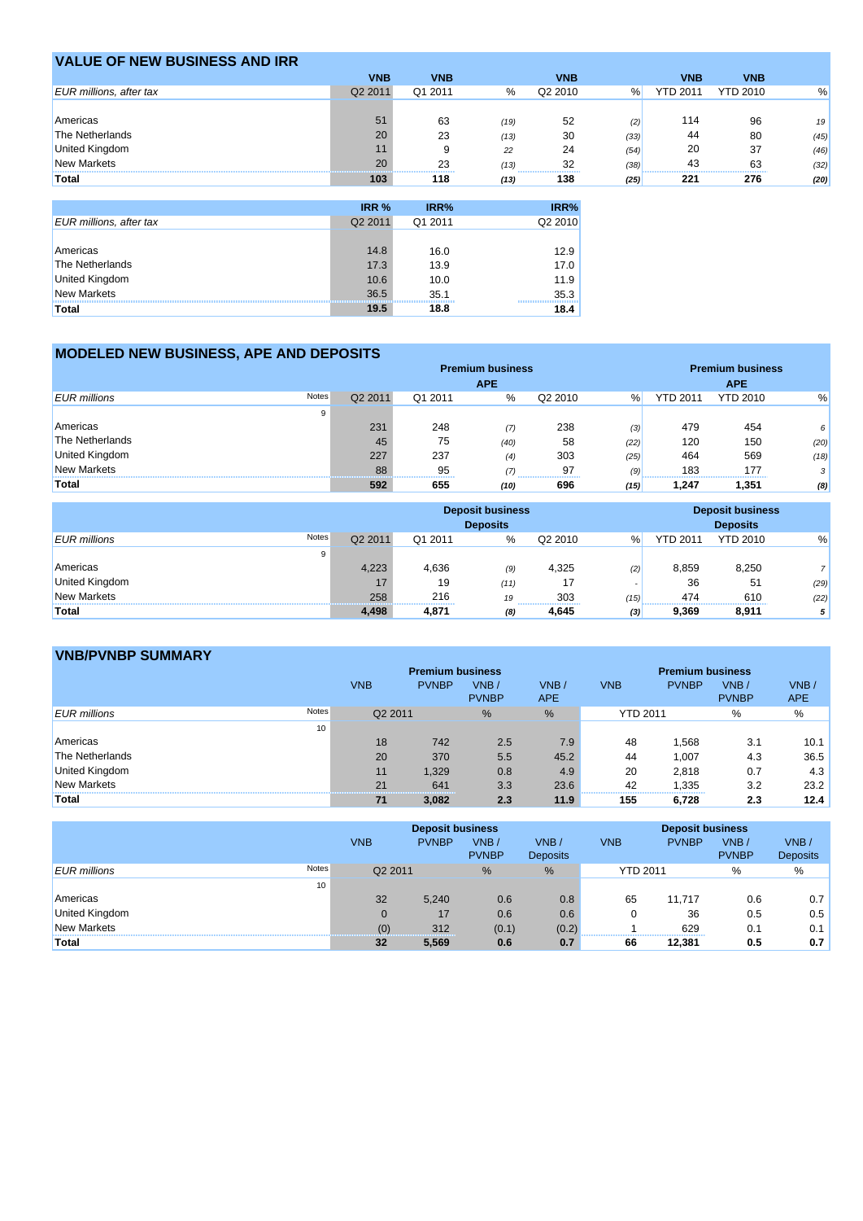| <b>VALUE OF NEW BUSINESS AND IRR</b> |            |                     |      |                                |      |                 |                 |      |
|--------------------------------------|------------|---------------------|------|--------------------------------|------|-----------------|-----------------|------|
|                                      | <b>VNB</b> | <b>VNB</b>          |      | <b>VNB</b>                     |      | <b>VNB</b>      | <b>VNB</b>      |      |
| <b>EUR</b> millions, after tax       | Q2 2011    | Q1 2011             | %    | Q2 2010                        | %    | <b>YTD 2011</b> | <b>YTD 2010</b> | %    |
|                                      |            |                     |      |                                |      |                 |                 |      |
| Americas                             | 51         | 63                  | (19) | 52                             | (2)  | 114             | 96              | 19   |
| The Netherlands                      | 20         | 23                  | (13) | 30                             | (33) | 44              | 80              | (45) |
| United Kingdom                       |            |                     | 22   | 24                             | (54) | 20              | 37              | (46) |
| <b>New Markets</b>                   | 20         | 23<br><br>--------- | (13) | 32<br>------------------------ | (38) | 43              | 63              | (32) |
| Total                                | 103        | 118                 | (13) | 138                            | (25) | 221             | 276             | (20) |

|                                | IRR %   | IRR%    | IRR%    |
|--------------------------------|---------|---------|---------|
| <b>EUR millions, after tax</b> | Q2 2011 | Q1 2011 | Q2 2010 |
|                                |         |         |         |
| Americas                       | 14.8    | 16.0    | 12.9    |
| The Netherlands                | 17.3    | 13.9    | 17.0    |
| United Kingdom                 | 10.6    | 10.0    | 11.9    |
| New Markets                    | 36.5    | 35.1    | 35.3    |
| <b>Total</b>                   | 19.5    | 18.8    | 18.4    |

## **MODELED NEW BUSINESS, APE AND DEPOSITS**

|                              | <b>Premium business</b> |         |            |         |      | <b>Premium business</b> |                 |      |  |
|------------------------------|-------------------------|---------|------------|---------|------|-------------------------|-----------------|------|--|
|                              |                         |         | <b>APE</b> |         |      |                         | <b>APE</b>      |      |  |
| Notes<br><b>EUR</b> millions | Q2 2011                 | Q1 2011 | %          | Q2 2010 | %    | <b>YTD 2011</b>         | <b>YTD 2010</b> | %    |  |
| 9                            |                         |         |            |         |      |                         |                 |      |  |
| Americas                     | 231                     | 248     | (7)        | 238     | (3)  | 479                     | 454             | 6    |  |
| The Netherlands              | 45                      | 75      | (40)       | 58      | (22) | 120                     | 150             | (20) |  |
| <b>United Kingdom</b>        | 227                     | 237     | (4)        | 303     | (25) | 464                     | 569             | (18) |  |
| <b>New Markets</b>           | 88                      | 95      | (7)        | 97      | (9)  | 183                     | 177             | 3    |  |
| Total                        | 592                     | 655     | <br>(10)   | 696     | (15) | ,247                    | 1,351           | (8)  |  |

|                              | <b>Deposit business</b><br><b>Deposits</b> |                      |      |           |               |                 |                 | <b>Deposit business</b><br><b>Deposits</b> |  |
|------------------------------|--------------------------------------------|----------------------|------|-----------|---------------|-----------------|-----------------|--------------------------------------------|--|
| Notes<br><b>EUR</b> millions | Q2 2011                                    | Q1 2011              | $\%$ | Q2 2010   | $\frac{9}{6}$ | <b>YTD 2011</b> | <b>YTD 2010</b> | %                                          |  |
| 9                            |                                            |                      |      |           |               |                 |                 |                                            |  |
| Americas                     | 4.223                                      | 4.636                | (9)  | 4.325     | (2)           | 8.859           | 8,250           | ٠.                                         |  |
| United Kingdom               | 17                                         | 19                   | (11) | 17        |               | 36              | 51              | (29)                                       |  |
| <b>New Markets</b>           | 258                                        | 216                  | 19   | 303       | (15)          | 474             | 610             | (22)                                       |  |
| Total                        | 4.498                                      | -----------<br>4.871 | (8)  | <br>4.645 | (3)           | <br>9.369       | 8.911           | 5 <sup>1</sup>                             |  |

## **VNB/PVNBP SUMMARY**

| ******************************* |       |            |                         |                      |                         |                 |              |                      |                    |
|---------------------------------|-------|------------|-------------------------|----------------------|-------------------------|-----------------|--------------|----------------------|--------------------|
|                                 |       |            | <b>Premium business</b> |                      | <b>Premium business</b> |                 |              |                      |                    |
|                                 |       | <b>VNB</b> | <b>PVNBP</b>            | VNB/<br><b>PVNBP</b> | VNB/<br>APE.            | <b>VNB</b>      | <b>PVNBP</b> | VNB/<br><b>PVNBP</b> | VNB/<br><b>APE</b> |
| <b>EUR</b> millions             | Notes | Q2 2011    |                         | $\%$                 | $\%$                    | <b>YTD 2011</b> |              | $\%$                 | %                  |
|                                 | 10    |            |                         |                      |                         |                 |              |                      |                    |
| Americas                        |       | 18         | 742                     | 2.5                  | 7.9                     | 48              | .568         | 3.1                  | 10.1               |
| The Netherlands                 |       | 20         | 370                     | 5.5                  | 45.2                    | 44              | 1,007        | 4.3                  | 36.5               |
| <b>United Kingdom</b>           |       | 11         | 1.329                   | 0.8                  | 4.9                     | 20              | 2.818        | 0.7                  | 4.3                |
| <b>New Markets</b>              |       | 21         | 641                     | 3.3                  | 23.6                    | 42<br>--------- | 1,335        | 3.2                  | 23.2               |
| Total                           |       | 71         | 3.082                   | 2.3                  | 11.9                    | 155             | 6,728        | 2.3                  | 12.4               |

|                                     |            | <b>Deposit business</b> |                      |                         |                 | <b>Deposit business</b> |                      |                         |  |
|-------------------------------------|------------|-------------------------|----------------------|-------------------------|-----------------|-------------------------|----------------------|-------------------------|--|
|                                     | <b>VNB</b> | <b>PVNBP</b>            | VNB/<br><b>PVNBP</b> | VNB/<br><b>Deposits</b> | <b>VNB</b>      | <b>PVNBP</b>            | VNB/<br><b>PVNBP</b> | VNB/<br><b>Deposits</b> |  |
| <b>Notes</b><br><b>EUR</b> millions | Q2 2011    |                         | $\%$                 | %                       | <b>YTD 2011</b> |                         | %                    | %                       |  |
|                                     | 10         |                         |                      |                         |                 |                         |                      |                         |  |
| Americas                            | 32         | 5,240                   | 0.6                  | 0.8                     | 65              | 11.717                  | 0.6                  | 0.7                     |  |
| <b>United Kingdom</b>               |            | 17                      | 0.6                  | 0.6                     |                 | 36                      | 0.5                  | 0.5                     |  |
| <b>New Markets</b>                  | (0)        | 312                     | (0.1)                | (0.2)                   |                 | 629                     | 0.1                  | 0.1                     |  |
| Total                               | 32         | 5,569                   | 0.6                  | 0.7                     | 66              | 12,381                  | 0.5                  | 0.7                     |  |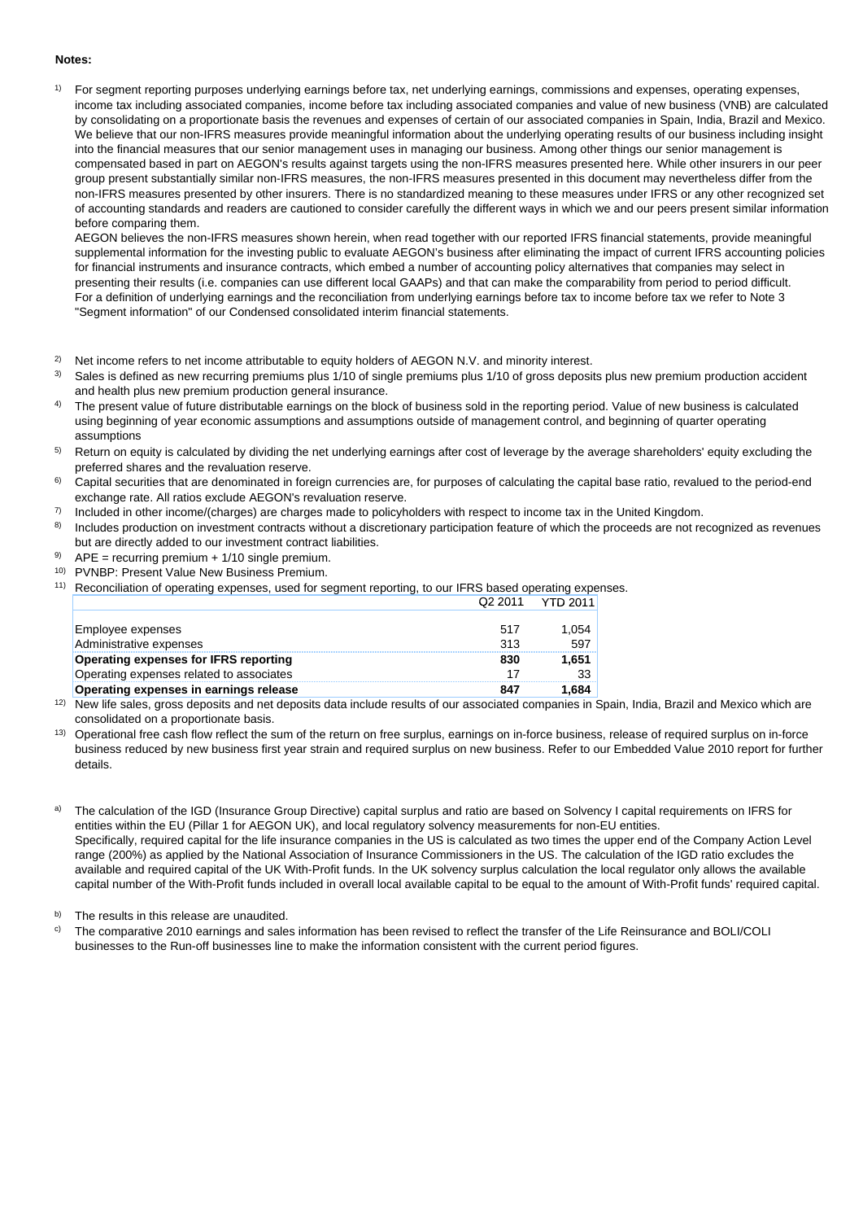#### **Notes:**

1) For segment reporting purposes underlying earnings before tax, net underlying earnings, commissions and expenses, operating expenses, income tax including associated companies, income before tax including associated companies and value of new business (VNB) are calculated by consolidating on a proportionate basis the revenues and expenses of certain of our associated companies in Spain, India, Brazil and Mexico. We believe that our non-IFRS measures provide meaningful information about the underlying operating results of our business including insight into the financial measures that our senior management uses in managing our business. Among other things our senior management is compensated based in part on AEGON's results against targets using the non-IFRS measures presented here. While other insurers in our peer group present substantially similar non-IFRS measures, the non-IFRS measures presented in this document may nevertheless differ from the non-IFRS measures presented by other insurers. There is no standardized meaning to these measures under IFRS or any other recognized set of accounting standards and readers are cautioned to consider carefully the different ways in which we and our peers present similar information before comparing them.

AEGON believes the non-IFRS measures shown herein, when read together with our reported IFRS financial statements, provide meaningful supplemental information for the investing public to evaluate AEGON's business after eliminating the impact of current IFRS accounting policies for financial instruments and insurance contracts, which embed a number of accounting policy alternatives that companies may select in presenting their results (i.e. companies can use different local GAAPs) and that can make the comparability from period to period difficult. For a definition of underlying earnings and the reconciliation from underlying earnings before tax to income before tax we refer to Note 3 "Segment information" of our Condensed consolidated interim financial statements.

- 2) Net income refers to net income attributable to equity holders of AEGON N.V. and minority interest.
- 3) Sales is defined as new recurring premiums plus 1/10 of single premiums plus 1/10 of gross deposits plus new premium production accident and health plus new premium production general insurance.
- 4) The present value of future distributable earnings on the block of business sold in the reporting period. Value of new business is calculated using beginning of year economic assumptions and assumptions outside of management control, and beginning of quarter operating assumptions
- 5) Return on equity is calculated by dividing the net underlying earnings after cost of leverage by the average shareholders' equity excluding the preferred shares and the revaluation reserve.
- 6) Capital securities that are denominated in foreign currencies are, for purposes of calculating the capital base ratio, revalued to the period-end exchange rate. All ratios exclude AEGON's revaluation reserve.
- 7) Included in other income/(charges) are charges made to policyholders with respect to income tax in the United Kingdom.
- 8) Includes production on investment contracts without a discretionary participation feature of which the proceeds are not recognized as revenues but are directly added to our investment contract liabilities.
- 9)  $APE = recurring premium + 1/10 single premium$ .
- 10) PVNBP: Present Value New Business Premium.
- 11) Reconciliation of operating expenses, used for segment reporting, to our IFRS based operating expenses. Q2 2011 YTD 2011

|                                          | ----- | .     |
|------------------------------------------|-------|-------|
|                                          |       |       |
| Employee expenses                        | 517   | 1,054 |
| Administrative expenses                  | 313   | 597   |
| Operating expenses for IFRS reporting    | 830   | 1.651 |
| Operating expenses related to associates |       | 33    |
| Operating expenses in earnings release   | 847   | 1.684 |

- <sup>12)</sup> New life sales, gross deposits and net deposits data include results of our associated companies in Spain, India, Brazil and Mexico which are consolidated on a proportionate basis.
- <sup>13)</sup> Operational free cash flow reflect the sum of the return on free surplus, earnings on in-force business, release of required surplus on in-force business reduced by new business first year strain and required surplus on new business. Refer to our Embedded Value 2010 report for further details.
- The calculation of the IGD (Insurance Group Directive) capital surplus and ratio are based on Solvency I capital requirements on IFRS for entities within the EU (Pillar 1 for AEGON UK), and local regulatory solvency measurements for non-EU entities. Specifically, required capital for the life insurance companies in the US is calculated as two times the upper end of the Company Action Level range (200%) as applied by the National Association of Insurance Commissioners in the US. The calculation of the IGD ratio excludes the available and required capital of the UK With-Profit funds. In the UK solvency surplus calculation the local regulator only allows the available capital number of the With-Profit funds included in overall local available capital to be equal to the amount of With-Profit funds' required capital.

b) The results in this release are unaudited.

 $\degree$  The comparative 2010 earnings and sales information has been revised to reflect the transfer of the Life Reinsurance and BOLI/COLI businesses to the Run-off businesses line to make the information consistent with the current period figures.